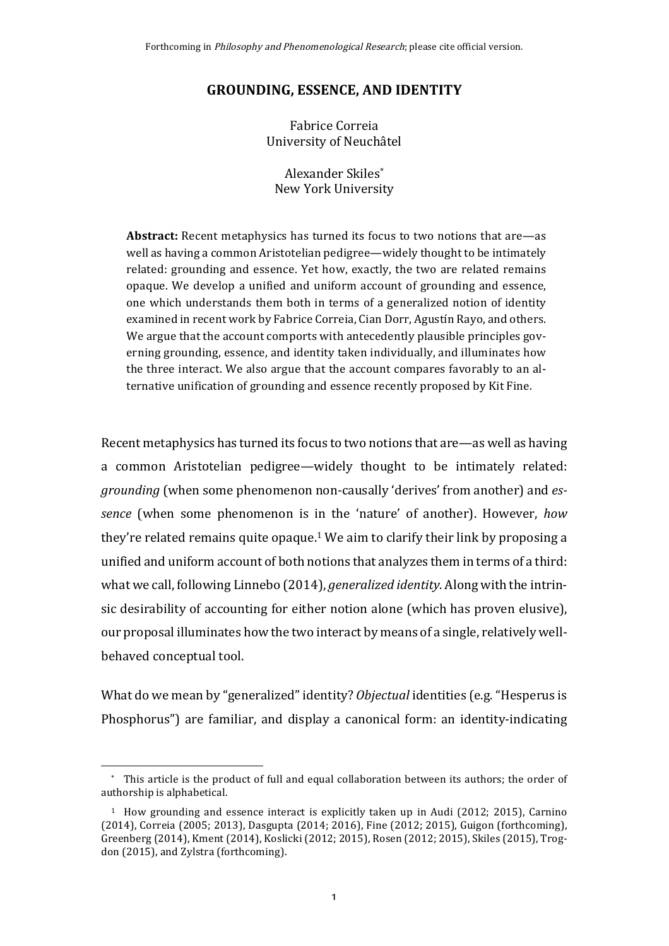### **GROUNDING, ESSENCE, AND IDENTITY**

Fabrice Correia University of Neuchâtel

Alexander Skiles\* New York University

**Abstract:** Recent metaphysics has turned its focus to two notions that are—as well as having a common Aristotelian pedigree—widely thought to be intimately related: grounding and essence. Yet how, exactly, the two are related remains opaque. We develop a unified and uniform account of grounding and essence, one which understands them both in terms of a generalized notion of identity examined in recent work by Fabrice Correia, Cian Dorr, Agustín Rayo, and others. We argue that the account comports with antecedently plausible principles governing grounding, essence, and identity taken individually, and illuminates how the three interact. We also argue that the account compares favorably to an alternative unification of grounding and essence recently proposed by Kit Fine.

Recent metaphysics has turned its focus to two notions that are—as well as having a common Aristotelian pedigree—widely thought to be intimately related: grounding (when some phenomenon non-causally 'derives' from another) and *essence* (when some phenomenon is in the 'nature' of another). However, *how* they're related remains quite opaque.<sup>1</sup> We aim to clarify their link by proposing a unified and uniform account of both notions that analyzes them in terms of a third: what we call, following Linnebo (2014), *generalized identity*. Along with the intrinsic desirability of accounting for either notion alone (which has proven elusive), our proposal illuminates how the two interact by means of a single, relatively wellbehaved conceptual tool.

What do we mean by "generalized" identity? *Objectual* identities (e.g. "Hesperus is Phosphorus") are familiar, and display a canonical form: an identity-indicating

<sup>\*</sup> This article is the product of full and equal collaboration between its authors; the order of authorship is alphabetical.

<sup>&</sup>lt;sup>1</sup> How grounding and essence interact is explicitly taken up in Audi (2012; 2015), Carnino (2014), Correia (2005; 2013), Dasgupta (2014; 2016), Fine (2012; 2015), Guigon (forthcoming), Greenberg (2014), Kment (2014), Koslicki (2012; 2015), Rosen (2012; 2015), Skiles (2015), Trogdon (2015), and Zylstra (forthcoming).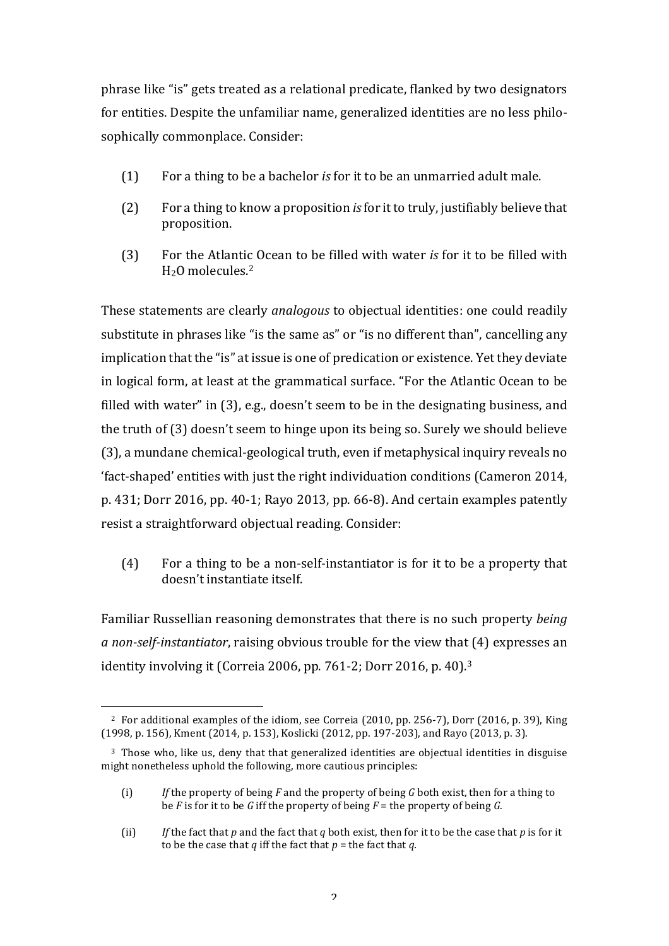phrase like "is" gets treated as a relational predicate, flanked by two designators for entities. Despite the unfamiliar name, generalized identities are no less philosophically commonplace. Consider:

- (1) For a thing to be a bachelor *is* for it to be an unmarried adult male.
- (2) For a thing to know a proposition *is* for it to truly, justifiably believe that proposition.
- (3) For the Atlantic Ocean to be filled with water *is* for it to be filled with  $H<sub>2</sub>O$  molecules.<sup>2</sup>

These statements are clearly *analogous* to objectual identities: one could readily substitute in phrases like "is the same as" or "is no different than", cancelling any implication that the "is" at issue is one of predication or existence. Yet they deviate in logical form, at least at the grammatical surface. "For the Atlantic Ocean to be filled with water" in  $(3)$ , e.g., doesn't seem to be in the designating business, and the truth of  $(3)$  doesn't seem to hinge upon its being so. Surely we should believe (3), a mundane chemical-geological truth, even if metaphysical inquiry reveals no 'fact-shaped' entities with just the right individuation conditions (Cameron 2014, p. 431; Dorr 2016, pp. 40-1; Rayo 2013, pp. 66-8). And certain examples patently resist a straightforward objectual reading. Consider:

 $(4)$  For a thing to be a non-self-instantiator is for it to be a property that doesn't instantiate itself.

Familiar Russellian reasoning demonstrates that there is no such property *being a* non-self-instantiator, raising obvious trouble for the view that (4) expresses an identity involving it (Correia 2006, pp. 761-2; Dorr 2016, p. 40). $^3$ 

<sup>1</sup>  $2$  For additional examples of the idiom, see Correia (2010, pp. 256-7), Dorr (2016, p. 39), King (1998, p. 156), Kment (2014, p. 153), Koslicki (2012, pp. 197-203), and Rayo (2013, p. 3).

<sup>&</sup>lt;sup>3</sup> Those who, like us, deny that that generalized identities are objectual identities in disguise might nonetheless uphold the following, more cautious principles:

<sup>(</sup>i) *If* the property of being  $F$  and the property of being  $G$  both exist, then for a thing to be *F* is for it to be *G* iff the property of being  $F =$  the property of being *G*.

<sup>(</sup>ii) *If* the fact that *p* and the fact that *q* both exist, then for it to be the case that *p* is for it to be the case that  $q$  iff the fact that  $p =$  the fact that  $q$ .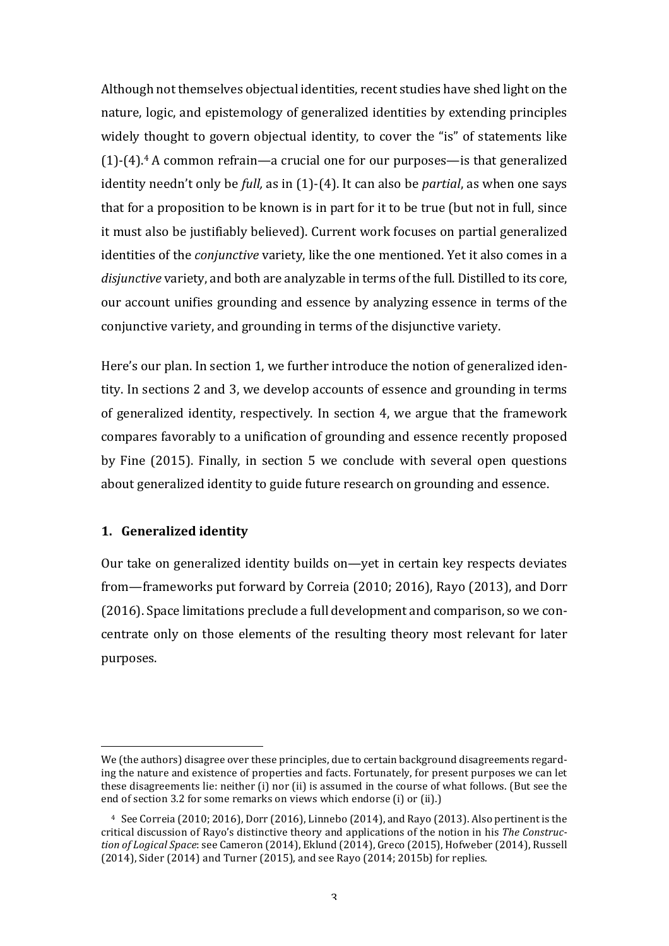Although not themselves objectual identities, recent studies have shed light on the nature, logic, and epistemology of generalized identities by extending principles widely thought to govern objectual identity, to cover the "is" of statements like  $(1)-(4).4$  A common refrain—a crucial one for our purposes—is that generalized identity needn't only be *full*, as in (1)-(4). It can also be *partial*, as when one says that for a proposition to be known is in part for it to be true (but not in full, since it must also be justifiably believed). Current work focuses on partial generalized identities of the *conjunctive* variety, like the one mentioned. Yet it also comes in a disjunctive variety, and both are analyzable in terms of the full. Distilled to its core, our account unifies grounding and essence by analyzing essence in terms of the conjunctive variety, and grounding in terms of the disjunctive variety.

Here's our plan. In section 1, we further introduce the notion of generalized identity. In sections 2 and 3, we develop accounts of essence and grounding in terms of generalized identity, respectively. In section 4, we argue that the framework compares favorably to a unification of grounding and essence recently proposed by Fine (2015). Finally, in section 5 we conclude with several open questions about generalized identity to guide future research on grounding and essence.

### **1. Generalized identity**

1

Our take on generalized identity builds on—yet in certain key respects deviates from—frameworks put forward by Correia (2010; 2016), Rayo (2013), and Dorr (2016). Space limitations preclude a full development and comparison, so we concentrate only on those elements of the resulting theory most relevant for later purposes.

We (the authors) disagree over these principles, due to certain background disagreements regarding the nature and existence of properties and facts. Fortunately, for present purposes we can let these disagreements lie: neither (i) nor (ii) is assumed in the course of what follows. (But see the end of section 3.2 for some remarks on views which endorse (i) or (ii).)

 $4$  See Correia (2010; 2016), Dorr (2016), Linnebo (2014), and Rayo (2013). Also pertinent is the critical discussion of Rayo's distinctive theory and applications of the notion in his *The Construc*tion of Logical Space: see Cameron (2014), Eklund (2014), Greco (2015), Hofweber (2014), Russell  $(2014)$ , Sider  $(2014)$  and Turner  $(2015)$ , and see Ravo  $(2014; 2015b)$  for replies.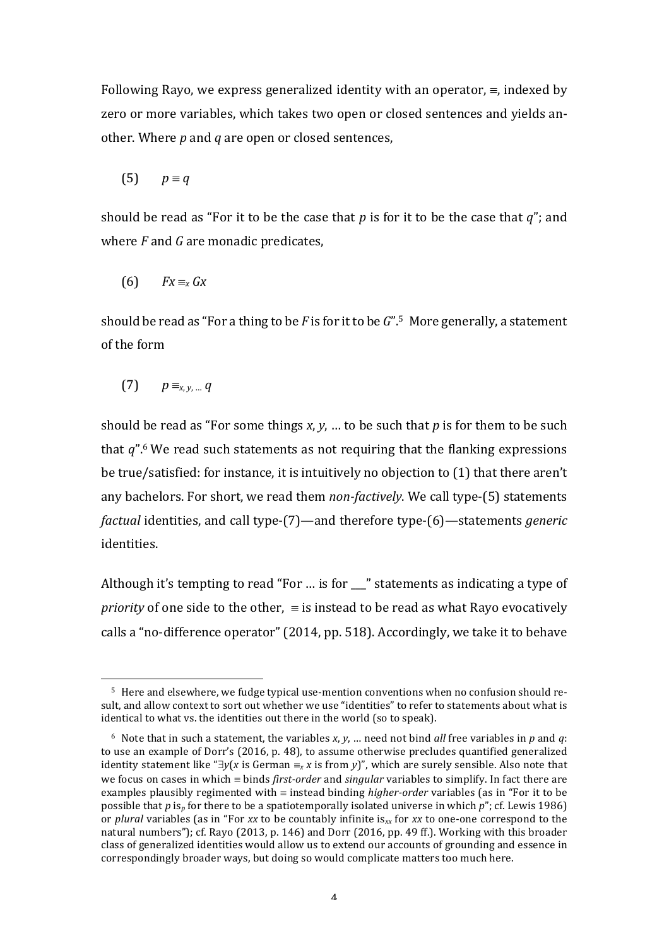Following Rayo, we express generalized identity with an operator,  $\equiv$ , indexed by zero or more variables, which takes two open or closed sentences and yields another. Where *p* and *q* are open or closed sentences,

$$
(5) \qquad p \equiv q
$$

should be read as "For it to be the case that *p* is for it to be the case that  $q$ "; and where *F* and *G* are monadic predicates,

$$
(6) \qquad Fx \equiv_x Gx
$$

should be read as "For a thing to be  $F$  is for it to be  $G$ ".<sup>5</sup> More generally, a statement of the form

$$
(7) \qquad p \equiv_{x,y,\ldots} q
$$

1

should be read as "For some things  $x, y, ...$  to be such that  $p$  is for them to be such that  $q$ ".<sup>6</sup> We read such statements as not requiring that the flanking expressions be true/satisfied: for instance, it is intuitively no objection to  $(1)$  that there aren't any bachelors. For short, we read them *non-factively*. We call type-(5) statements *factual* identities, and call type-(7)—and therefore type-(6)—statements *generic* identities.

Although it's tempting to read "For  $\ldots$  is for  $\ldots$ " statements as indicating a type of *priority* of one side to the other,  $\equiv$  is instead to be read as what Rayo evocatively calls a "no-difference operator" (2014, pp. 518). Accordingly, we take it to behave

<sup>&</sup>lt;sup>5</sup> Here and elsewhere, we fudge typical use-mention conventions when no confusion should result, and allow context to sort out whether we use "identities" to refer to statements about what is identical to what vs. the identities out there in the world (so to speak).

 $6$  Note that in such a statement, the variables *x*, *y*, ... need not bind *all* free variables in *p* and *q*: to use an example of Dorr's (2016, p. 48), to assume otherwise precludes quantified generalized identity statement like " $\exists y(x)$  is German  $\equiv_x x$  is from y)", which are surely sensible. Also note that we focus on cases in which  $\equiv$  binds *first-order* and *singular* variables to simplify. In fact there are examples plausibly regimented with  $\equiv$  instead binding *higher-order* variables (as in "For it to be possible that *p* is<sub>*p*</sub> for there to be a spatiotemporally isolated universe in which *p*"; cf. Lewis 1986) or *plural* variables (as in "For xx to be countably infinite  $is_{xx}$  for xx to one-one correspond to the natural numbers"); cf. Rayo (2013, p. 146) and Dorr (2016, pp. 49 ff.). Working with this broader class of generalized identities would allow us to extend our accounts of grounding and essence in correspondingly broader ways, but doing so would complicate matters too much here.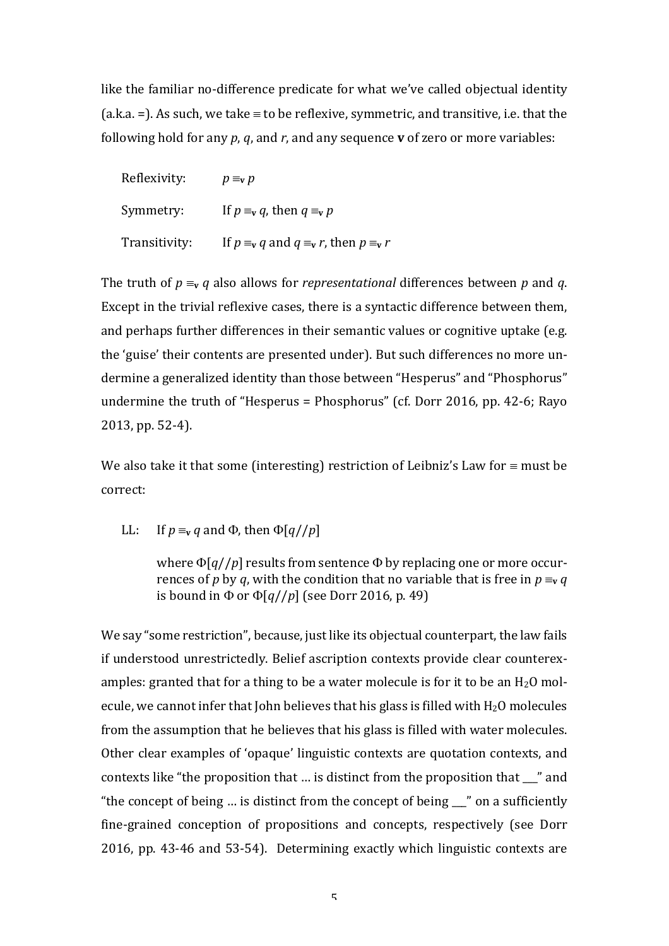like the familiar no-difference predicate for what we've called objectual identity (a.k.a.  $=$ ). As such, we take  $\equiv$  to be reflexive, symmetric, and transitive, i.e. that the following hold for any  $p$ ,  $q$ , and  $r$ , and any sequence **v** of zero or more variables:

| Reflexivity:  | $p \equiv_{\mathbf{v}} p$                                                                   |
|---------------|---------------------------------------------------------------------------------------------|
| Symmetry:     | If $p \equiv_{\mathbf{v}} q$ , then $q \equiv_{\mathbf{v}} p$                               |
| Transitivity: | If $p \equiv_{\mathbf{v}} q$ and $q \equiv_{\mathbf{v}} r$ , then $p \equiv_{\mathbf{v}} r$ |

The truth of  $p \equiv_{\mathbf{v}} q$  also allows for *representational* differences between p and q. Except in the trivial reflexive cases, there is a syntactic difference between them, and perhaps further differences in their semantic values or cognitive uptake (e.g. the 'guise' their contents are presented under). But such differences no more undermine a generalized identity than those between "Hesperus" and "Phosphorus" undermine the truth of "Hesperus = Phosphorus" (cf. Dorr 2016, pp. 42-6; Rayo 2013, pp. 52-4).

We also take it that some (interesting) restriction of Leibniz's Law for  $\equiv$  must be correct:

LL: If  $p \equiv_{\mathbf{v}} q$  and  $\Phi$ , then  $\Phi[q]/p$ ]

where  $\Phi[q]/p$  results from sentence  $\Phi$  by replacing one or more occurrences of *p* by *q*, with the condition that no variable that is free in  $p \equiv_{\mathbf{v}} q$ is bound in  $\Phi$  or  $\Phi[q]/p$  (see Dorr 2016, p. 49)

We say "some restriction", because, just like its objectual counterpart, the law fails if understood unrestrictedly. Belief ascription contexts provide clear counterexamples: granted that for a thing to be a water molecule is for it to be an  $H_2O$  molecule, we cannot infer that John believes that his glass is filled with  $H_2O$  molecules from the assumption that he believes that his glass is filled with water molecules. Other clear examples of 'opaque' linguistic contexts are quotation contexts, and contexts like "the proposition that  $\ldots$  is distinct from the proposition that  $\ldots$ " and "the concept of being  $\ldots$  is distinct from the concept of being  $\ldots$ " on a sufficiently fine-grained conception of propositions and concepts, respectively (see Dorr 2016, pp. 43-46 and 53-54). Determining exactly which linguistic contexts are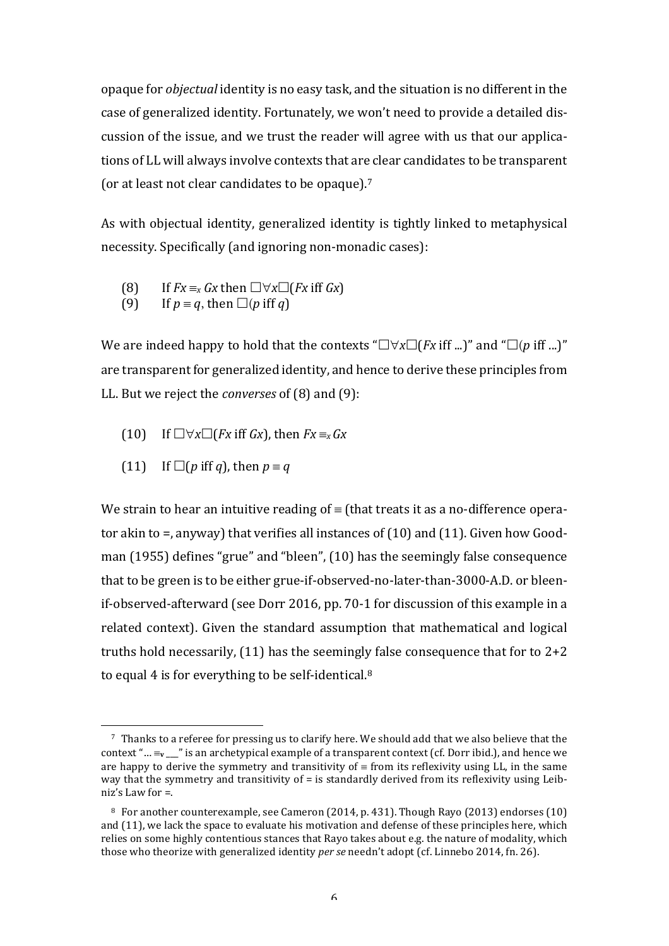opaque for *objectual* identity is no easy task, and the situation is no different in the case of generalized identity. Fortunately, we won't need to provide a detailed discussion of the issue, and we trust the reader will agree with us that our applications of LL will always involve contexts that are clear candidates to be transparent (or at least not clear candidates to be opaque).<sup>7</sup>

As with objectual identity, generalized identity is tightly linked to metaphysical necessity. Specifically (and ignoring non-monadic cases):

- (8) If  $Fx \equiv_x Gx$  then  $\Box \forall x \Box (Fx \text{ iff } Gx)$
- (9) If  $p \equiv q$ , then  $\Box(p \text{ iff } q)$

We are indeed happy to hold that the contexts " $\Box \forall x \Box (Fx \text{ iff } ... )$ " and " $\Box (p \text{ iff } ... )$ " are transparent for generalized identity, and hence to derive these principles from LL. But we reject the *converses* of (8) and (9):

- (10) If  $\Box \forall x \Box (Fx \text{ iff } Gx)$ , then  $Fx \equiv_x Gx$
- (11) If  $\Box(p \text{ iff } q)$ , then  $p \equiv q$

1

We strain to hear an intuitive reading of  $\equiv$  (that treats it as a no-difference operator akin to  $=$ , anyway) that verifies all instances of  $(10)$  and  $(11)$ . Given how Goodman (1955) defines "grue" and "bleen", (10) has the seemingly false consequence that to be green is to be either grue-if-observed-no-later-than-3000-A.D. or bleenif-observed-afterward (see Dorr 2016, pp. 70-1 for discussion of this example in a related context). Given the standard assumption that mathematical and logical truths hold necessarily,  $(11)$  has the seemingly false consequence that for to  $2+2$ to equal 4 is for everything to be self-identical. $8$ 

 $\frac{7}{1}$  Thanks to a referee for pressing us to clarify here. We should add that we also believe that the context " $\ldots \equiv v$  is an archetypical example of a transparent context (cf. Dorr ibid.), and hence we are happy to derive the symmetry and transitivity of  $\equiv$  from its reflexivity using LL, in the same way that the symmetry and transitivity of = is standardly derived from its reflexivity using Leibniz's Law for  $=$ .

<sup>&</sup>lt;sup>8</sup> For another counterexample, see Cameron (2014, p. 431). Though Rayo (2013) endorses (10) and (11), we lack the space to evaluate his motivation and defense of these principles here, which relies on some highly contentious stances that Rayo takes about e.g. the nature of modality, which those who theorize with generalized identity *per se* needn't adopt (cf. Linnebo 2014, fn. 26).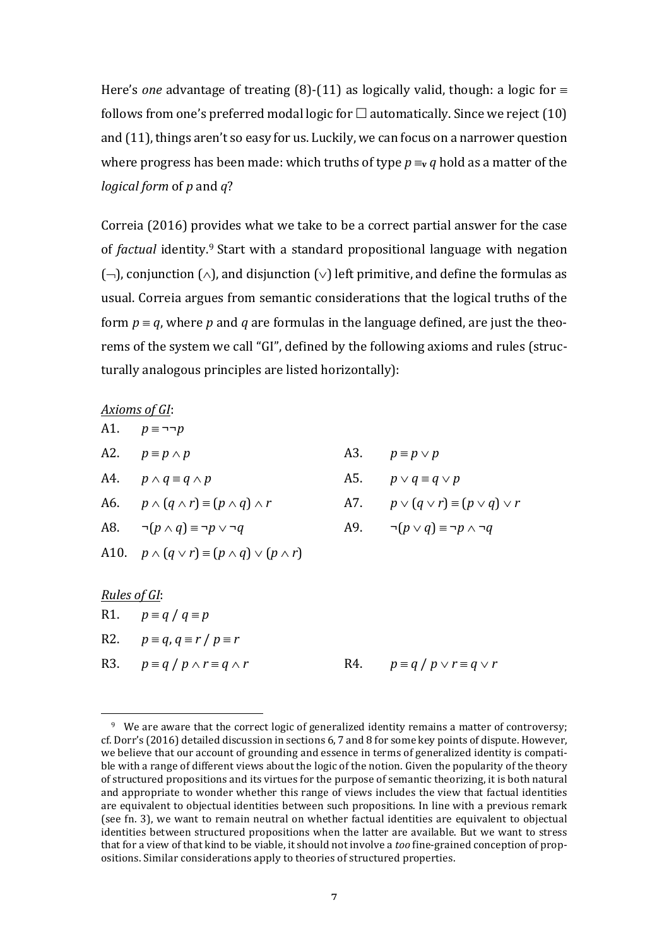Here's *one* advantage of treating  $(8)-(11)$  as logically valid, though: a logic for  $\equiv$ follows from one's preferred modal logic for  $\Box$  automatically. Since we reject (10) and  $(11)$ , things aren't so easy for us. Luckily, we can focus on a narrower question where progress has been made: which truths of type  $p \equiv v q$  hold as a matter of the *logical form* of *p* and *q*?

Correia (2016) provides what we take to be a correct partial answer for the case of *factual* identity.<sup>9</sup> Start with a standard propositional language with negation  $(\neg)$ , conjunction  $(\land)$ , and disjunction  $(\lor)$  left primitive, and define the formulas as usual. Correia argues from semantic considerations that the logical truths of the form  $p \equiv q$ , where p and q are formulas in the language defined, are just the theorems of the system we call "GI", defined by the following axioms and rules (structurally analogous principles are listed horizontally):

Axioms of GI:

1

| A1. $p \equiv \neg p$                                            |     |                                              |
|------------------------------------------------------------------|-----|----------------------------------------------|
| A2. $p \equiv p \wedge p$                                        | A3. | $p \equiv p \vee p$                          |
| A4. $p \wedge q \equiv q \wedge p$                               | A5. | $p \vee q \equiv q \vee p$                   |
| A6. $p \wedge (q \wedge r) \equiv (p \wedge q) \wedge r$         | A7. | $p \vee (q \vee r) \equiv (p \vee q) \vee r$ |
| $A8. \qquad \neg (p \land q) \equiv \neg p \lor \neg q$          | A9. | $\neg(p \lor q) \equiv \neg p \land \neg q$  |
| A10. $p \wedge (q \vee r) \equiv (p \wedge q) \vee (p \wedge r)$ |     |                                              |
|                                                                  |     |                                              |
| <u>Rules of GI:</u>                                              |     |                                              |
| R1. $p \equiv q / q \equiv p$                                    |     |                                              |
| R2. $p \equiv q, q \equiv r / p \equiv r$                        |     |                                              |
|                                                                  |     |                                              |

R3.  $p \equiv q / p \wedge r \equiv q \wedge r$  R4.  $p \equiv q / p \vee r \equiv q \vee r$ 

 $9\text{ }$  We are aware that the correct logic of generalized identity remains a matter of controversy; cf. Dorr's (2016) detailed discussion in sections 6, 7 and 8 for some key points of dispute. However, we believe that our account of grounding and essence in terms of generalized identity is compatible with a range of different views about the logic of the notion. Given the popularity of the theory of structured propositions and its virtues for the purpose of semantic theorizing, it is both natural and appropriate to wonder whether this range of views includes the view that factual identities are equivalent to objectual identities between such propositions. In line with a previous remark (see fn. 3), we want to remain neutral on whether factual identities are equivalent to objectual identities between structured propositions when the latter are available. But we want to stress that for a view of that kind to be viable, it should not involve a *too* fine-grained conception of propositions. Similar considerations apply to theories of structured properties.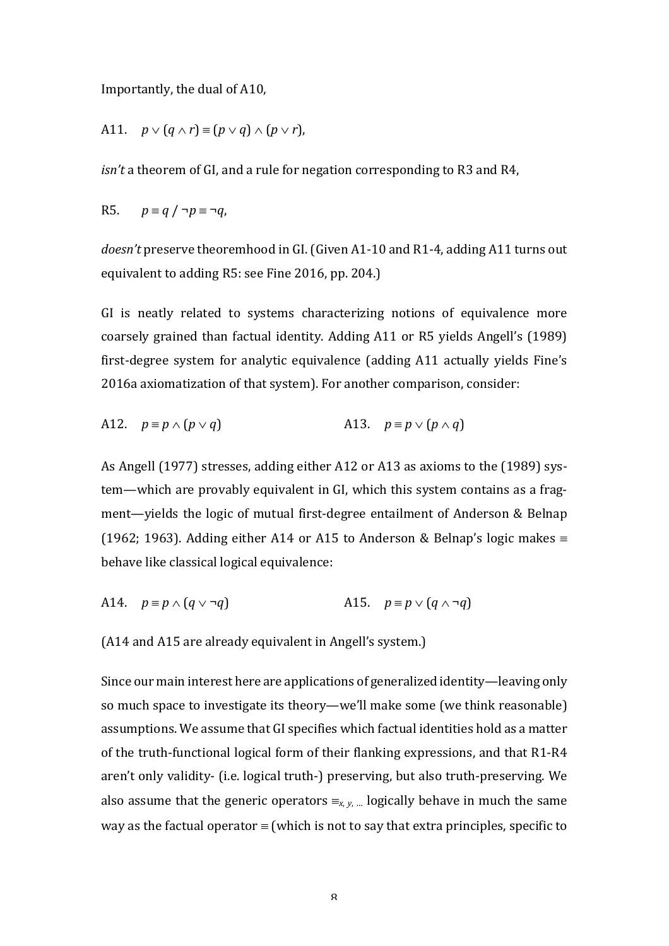Importantly, the dual of A10,

A11. 
$$
p \lor (q \land r) \equiv (p \lor q) \land (p \lor r)
$$
,

*isn't* a theorem of GI, and a rule for negation corresponding to R3 and R4,

R5. 
$$
p \equiv q / \neg p \equiv \neg q
$$
,

*doesn't* preserve theoremhood in GI. (Given A1-10 and R1-4, adding A11 turns out equivalent to adding R5: see Fine 2016, pp. 204.)

GI is neatly related to systems characterizing notions of equivalence more coarsely grained than factual identity. Adding A11 or R5 yields Angell's (1989) first-degree system for analytic equivalence (adding A11 actually yields Fine's 2016a axiomatization of that system). For another comparison, consider:

A12. 
$$
p \equiv p \land (p \lor q)
$$
  
A13.  $p \equiv p \lor (p \land q)$ 

As Angell (1977) stresses, adding either A12 or A13 as axioms to the (1989) system—which are provably equivalent in GI, which this system contains as a fragment—yields the logic of mutual first-degree entailment of Anderson & Belnap (1962; 1963). Adding either A14 or A15 to Anderson & Belnap's logic makes  $\equiv$ behave like classical logical equivalence:

A14. 
$$
p \equiv p \land (q \lor \neg q)
$$
  
A15.  $p \equiv p \lor (q \land \neg q)$ 

(A14 and A15 are already equivalent in Angell's system.)

Since our main interest here are applications of generalized identity—leaving only so much space to investigate its theory—we'll make some (we think reasonable) assumptions. We assume that GI specifies which factual identities hold as a matter of the truth-functional logical form of their flanking expressions, and that R1-R4 aren't only validity- (i.e. logical truth-) preserving, but also truth-preserving. We also assume that the generic operators  $\equiv_{x,y,\dots}$  logically behave in much the same way as the factual operator  $\equiv$  (which is not to say that extra principles, specific to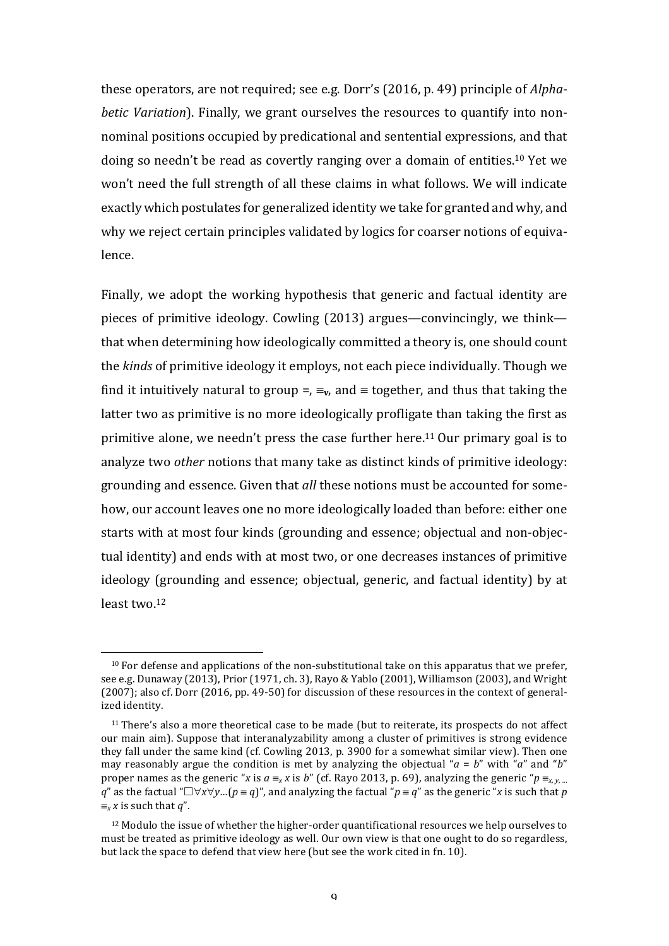these operators, are not required; see e.g. Dorr's (2016, p. 49) principle of *Alphabetic Variation*). Finally, we grant ourselves the resources to quantify into nonnominal positions occupied by predicational and sentential expressions, and that doing so needn't be read as covertly ranging over a domain of entities.<sup>10</sup> Yet we won't need the full strength of all these claims in what follows. We will indicate exactly which postulates for generalized identity we take for granted and why, and why we reject certain principles validated by logics for coarser notions of equivalence.

Finally, we adopt the working hypothesis that generic and factual identity are pieces of primitive ideology. Cowling  $(2013)$  argues—convincingly, we think that when determining how ideologically committed a theory is, one should count the *kinds* of primitive ideology it employs, not each piece individually. Though we find it intuitively natural to group  $=$ ,  $\equiv$ <sub>v</sub>, and  $\equiv$  together, and thus that taking the latter two as primitive is no more ideologically profligate than taking the first as primitive alone, we needn't press the case further here.<sup>11</sup> Our primary goal is to analyze two *other* notions that many take as distinct kinds of primitive ideology: grounding and essence. Given that *all* these notions must be accounted for somehow, our account leaves one no more ideologically loaded than before: either one starts with at most four kinds (grounding and essence; objectual and non-objectual identity) and ends with at most two, or one decreases instances of primitive ideology (grounding and essence; objectual, generic, and factual identity) by at least two.<sup>12</sup>

 $\ddot{ }$ 

 $10$  For defense and applications of the non-substitutional take on this apparatus that we prefer. see e.g. Dunaway (2013), Prior (1971, ch. 3), Rayo & Yablo (2001), Williamson (2003), and Wright  $(2007)$ ; also cf. Dorr  $(2016, pp. 49-50)$  for discussion of these resources in the context of generalized identity.

 $11$  There's also a more theoretical case to be made (but to reiterate, its prospects do not affect our main aim). Suppose that interanalyzability among a cluster of primitives is strong evidence they fall under the same kind (cf. Cowling 2013, p. 3900 for a somewhat similar view). Then one may reasonably argue the condition is met by analyzing the objectual " $a = b$ " with " $a$ " and " $b$ " proper names as the generic "*x* is  $a \equiv_{x} x$  is *b*" (cf. Rayo 2013, p. 69), analyzing the generic " $p \equiv_{x,y,\dots}$ *q*" as the factual " $\Box \forall x \forall y$ ...( $p \equiv q$ )", and analyzing the factual " $p \equiv q$ " as the generic "*x* is such that *p*  $\equiv_{x}$ *x* is such that *q*".

 $12$  Modulo the issue of whether the higher-order quantificational resources we help ourselves to must be treated as primitive ideology as well. Our own view is that one ought to do so regardless, but lack the space to defend that view here (but see the work cited in fn. 10).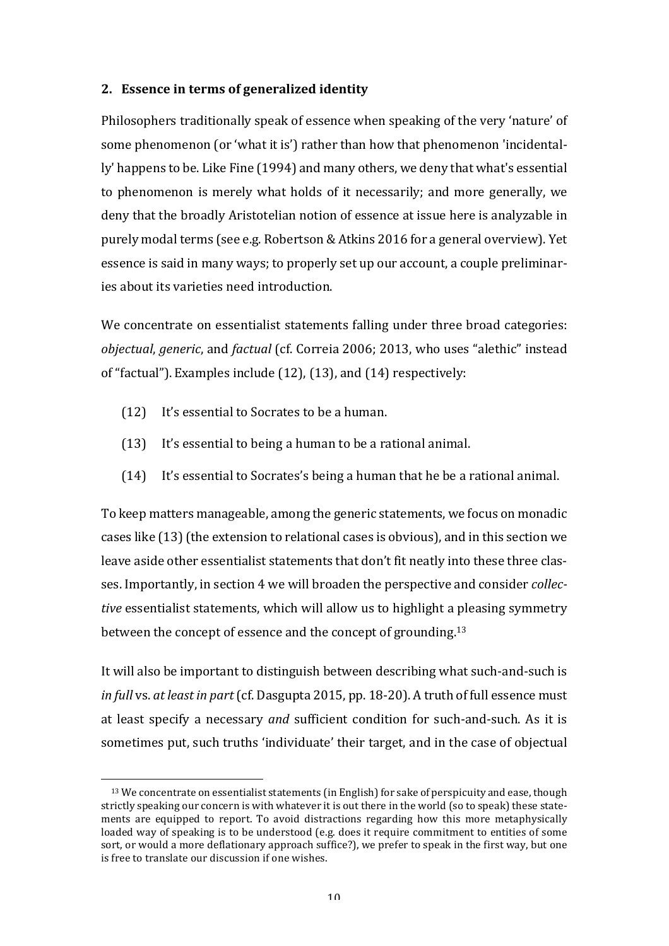# **2.** Essence in terms of generalized identity

Philosophers traditionally speak of essence when speaking of the very 'nature' of some phenomenon (or 'what it is') rather than how that phenomenon 'incidentally' happens to be. Like Fine (1994) and many others, we deny that what's essential to phenomenon is merely what holds of it necessarily; and more generally, we deny that the broadly Aristotelian notion of essence at issue here is analyzable in purely modal terms (see e.g. Robertson & Atkins 2016 for a general overview). Yet essence is said in many ways; to properly set up our account, a couple preliminaries about its varieties need introduction.

We concentrate on essentialist statements falling under three broad categories: *objectual, generic,* and *factual* (cf. Correia 2006; 2013, who uses "alethic" instead of "factual"). Examples include  $(12)$ ,  $(13)$ , and  $(14)$  respectively:

 $(12)$  It's essential to Socrates to be a human.

1

- $(13)$  It's essential to being a human to be a rational animal.
- $(14)$  It's essential to Socrates's being a human that he be a rational animal.

To keep matters manageable, among the generic statements, we focus on monadic cases like (13) (the extension to relational cases is obvious), and in this section we leave aside other essentialist statements that don't fit neatly into these three classes. Importantly, in section 4 we will broaden the perspective and consider *collective* essentialist statements, which will allow us to highlight a pleasing symmetry between the concept of essence and the concept of grounding.<sup>13</sup>

It will also be important to distinguish between describing what such-and-such is *in full* vs. *at least in part* (cf. Dasgupta 2015, pp. 18-20). A truth of full essence must at least specify a necessary *and* sufficient condition for such-and-such. As it is sometimes put, such truths 'individuate' their target, and in the case of objectual

<sup>&</sup>lt;sup>13</sup> We concentrate on essentialist statements (in English) for sake of perspicuity and ease, though strictly speaking our concern is with whatever it is out there in the world (so to speak) these statements are equipped to report. To avoid distractions regarding how this more metaphysically loaded way of speaking is to be understood (e.g. does it require commitment to entities of some sort, or would a more deflationary approach suffice?), we prefer to speak in the first way, but one is free to translate our discussion if one wishes.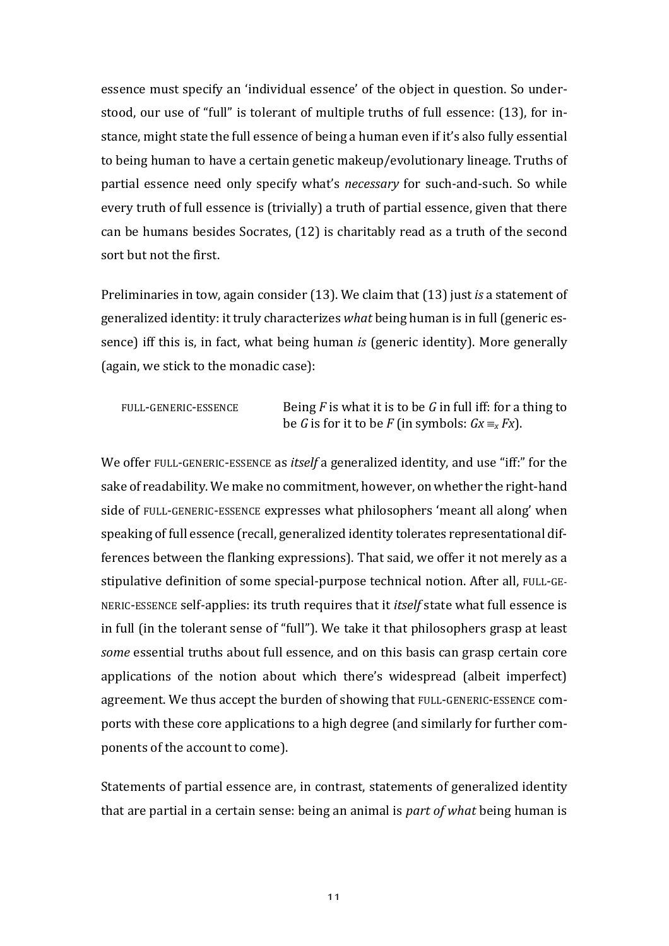essence must specify an 'individual essence' of the object in question. So understood, our use of "full" is tolerant of multiple truths of full essence: (13), for instance, might state the full essence of being a human even if it's also fully essential to being human to have a certain genetic makeup/evolutionary lineage. Truths of partial essence need only specify what's *necessary* for such-and-such. So while every truth of full essence is (trivially) a truth of partial essence, given that there can be humans besides Socrates, (12) is charitably read as a truth of the second sort but not the first.

Preliminaries in tow, again consider (13). We claim that (13) just *is* a statement of generalized identity: it truly characterizes *what* being human is in full (generic essence) iff this is, in fact, what being human *is* (generic identity). More generally (again, we stick to the monadic case):

$$
\text{FULL-GENERALC-ESSENCE} \qquad \qquad \text{Being } F \text{ is what it is to be } G \text{ in full iff: for a thing to} \\ \text{be } G \text{ is for it to be } F \text{ (in symbols: } Gx \equiv_{x} Fx \text{)}.
$$

We offer FULL-GENERIC-ESSENCE as *itself* a generalized identity, and use "iff:" for the sake of readability. We make no commitment, however, on whether the right-hand side of FULL-GENERIC-ESSENCE expresses what philosophers 'meant all along' when speaking of full essence (recall, generalized identity tolerates representational differences between the flanking expressions). That said, we offer it not merely as a stipulative definition of some special-purpose technical notion. After all, FULL-GE-NERIC-ESSENCE self-applies: its truth requires that it *itself* state what full essence is in full (in the tolerant sense of "full"). We take it that philosophers grasp at least *some* essential truths about full essence, and on this basis can grasp certain core applications of the notion about which there's widespread (albeit imperfect) agreement. We thus accept the burden of showing that FULL-GENERIC-ESSENCE comports with these core applications to a high degree (and similarly for further components of the account to come).

Statements of partial essence are, in contrast, statements of generalized identity that are partial in a certain sense: being an animal is *part of what* being human is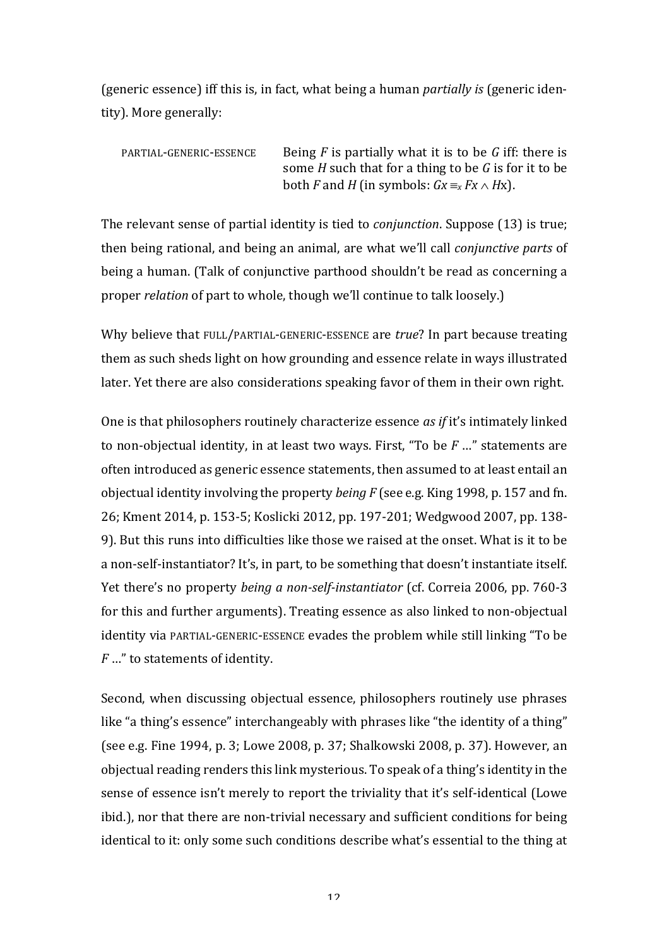(generic essence) iff this is, in fact, what being a human *partially is* (generic identity). More generally:

PARTIAL-GENERIC-ESSENCE Being  $F$  is partially what it is to be  $G$  iff: there is some *H* such that for a thing to be *G* is for it to be both *F* and *H* (in symbols:  $Gx \equiv_{x} Fx \wedge Hx$ ).

The relevant sense of partial identity is tied to *conjunction*. Suppose (13) is true; then being rational, and being an animal, are what we'll call *conjunctive parts* of being a human. (Talk of conjunctive parthood shouldn't be read as concerning a proper *relation* of part to whole, though we'll continue to talk loosely.)

Why believe that FULL/PARTIAL-GENERIC-ESSENCE are *true*? In part because treating them as such sheds light on how grounding and essence relate in ways illustrated later. Yet there are also considerations speaking favor of them in their own right.

One is that philosophers routinely characterize essence *as if* it's intimately linked to non-objectual identity, in at least two ways. First, "To be *F* ..." statements are often introduced as generic essence statements, then assumed to at least entail an objectual identity involving the property *being F* (see e.g. King 1998, p. 157 and fn. 26; Kment 2014, p. 153-5; Koslicki 2012, pp. 197-201; Wedgwood 2007, pp. 138-9). But this runs into difficulties like those we raised at the onset. What is it to be a non-self-instantiator? It's, in part, to be something that doesn't instantiate itself. Yet there's no property *being a non-self-instantiator* (cf. Correia 2006, pp. 760-3 for this and further arguments). Treating essence as also linked to non-objectual identity via PARTIAL-GENERIC-ESSENCE evades the problem while still linking "To be *F* ..." to statements of identity.

Second, when discussing objectual essence, philosophers routinely use phrases like "a thing's essence" interchangeably with phrases like "the identity of a thing" (see e.g. Fine 1994, p. 3; Lowe 2008, p. 37; Shalkowski 2008, p. 37). However, an objectual reading renders this link mysterious. To speak of a thing's identity in the sense of essence isn't merely to report the triviality that it's self-identical (Lowe ibid.), nor that there are non-trivial necessary and sufficient conditions for being identical to it: only some such conditions describe what's essential to the thing at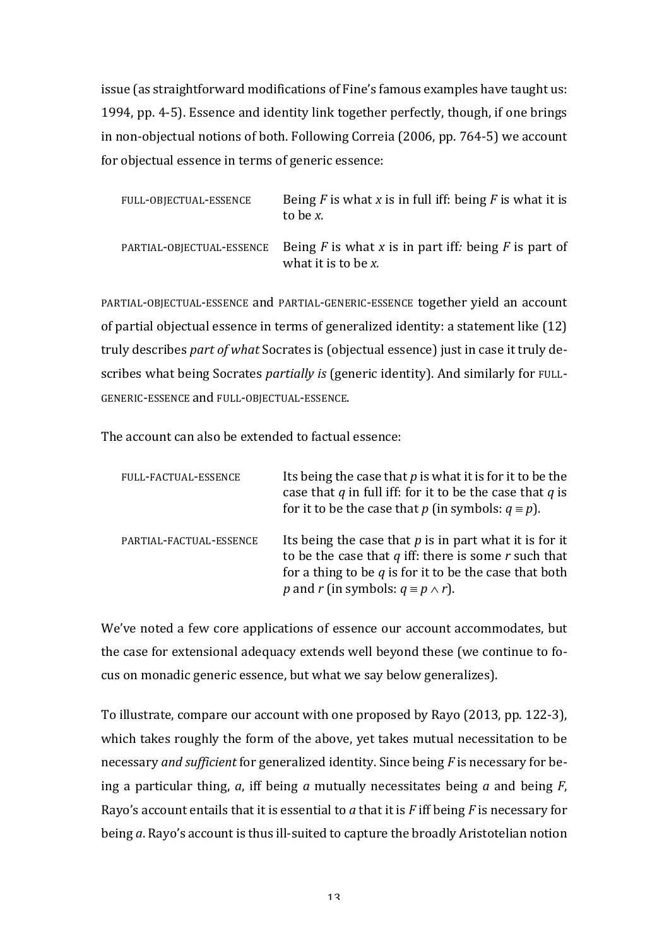issue (as straightforward modifications of Fine's famous examples have taught us: 1994, pp. 4-5). Essence and identity link together perfectly, though, if one brings in non-objectual notions of both. Following Correia  $(2006, pp. 764-5)$  we account for objectual essence in terms of generic essence:

| FULL-OBJECTUAL-ESSENCE    | Being $F$ is what x is in full iff: being $F$ is what it is<br>to be $x$ .      |
|---------------------------|---------------------------------------------------------------------------------|
| PARTIAL-OBJECTUAL-ESSENCE | Being $F$ is what x is in part iff: being $F$ is part of<br>what it is to be x. |

PARTIAL-OBJECTUAL-ESSENCE and PARTIAL-GENERIC-ESSENCE together yield an account of partial objectual essence in terms of generalized identity: a statement like  $(12)$ truly describes *part of what* Socrates is (objectual essence) just in case it truly describes what being Socrates *partially* is (generic identity). And similarly for FULL-GENERIC-ESSENCE and FULL-OBJECTUAL-ESSENCE.

The account can also be extended to factual essence:

| <b>FULL-FACTUAL-ESSENCE</b> | Its being the case that $p$ is what it is for it to be the<br>case that $q$ in full iff: for it to be the case that $q$ is<br>for it to be the case that p (in symbols: $q \equiv p$ ).                                           |
|-----------------------------|-----------------------------------------------------------------------------------------------------------------------------------------------------------------------------------------------------------------------------------|
| PARTIAL-FACTUAL-ESSENCE     | Its being the case that $p$ is in part what it is for it<br>to be the case that $q$ iff: there is some $r$ such that<br>for a thing to be $q$ is for it to be the case that both<br>p and r (in symbols: $q \equiv p \wedge r$ ). |

We've noted a few core applications of essence our account accommodates, but the case for extensional adequacy extends well beyond these (we continue to focus on monadic generic essence, but what we say below generalizes).

To illustrate, compare our account with one proposed by Rayo (2013, pp. 122-3), which takes roughly the form of the above, yet takes mutual necessitation to be necessary *and sufficient* for generalized identity. Since being *F* is necessary for being a particular thing,  $a$ , iff being  $a$  mutually necessitates being  $a$  and being  $F$ , Rayo's account entails that it is essential to  $a$  that it is  $F$  iff being  $F$  is necessary for being *a*. Rayo's account is thus ill-suited to capture the broadly Aristotelian notion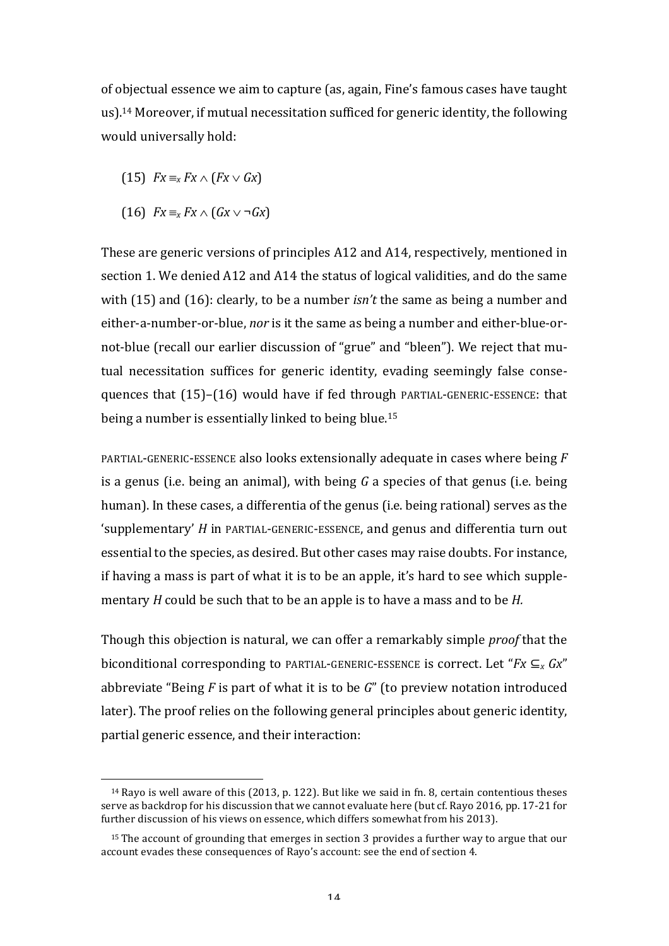of objectual essence we aim to capture (as, again, Fine's famous cases have taught us).<sup>14</sup> Moreover, if mutual necessitation sufficed for generic identity, the following would universally hold:

- (15)  $Fx \equiv_x Fx \wedge (Fx \vee Gx)$
- $(16)$   $Fx \equiv_{x} Fx \wedge (Gx \vee \neg Gx)$

1

These are generic versions of principles A12 and A14, respectively, mentioned in section 1. We denied A12 and A14 the status of logical validities, and do the same with  $(15)$  and  $(16)$ : clearly, to be a number *isn't* the same as being a number and either-a-number-or-blue, *nor* is it the same as being a number and either-blue-ornot-blue (recall our earlier discussion of "grue" and "bleen"). We reject that mutual necessitation suffices for generic identity, evading seemingly false consequences that  $(15)$ – $(16)$  would have if fed through PARTIAL-GENERIC-ESSENCE: that being a number is essentially linked to being blue.<sup>15</sup>

PARTIAL-GENERIC-ESSENCE also looks extensionally adequate in cases where being *F* is a genus (i.e. being an animal), with being  $G$  a species of that genus (i.e. being human). In these cases, a differentia of the genus (i.e. being rational) serves as the 'supplementary' *H* in PARTIAL-GENERIC-ESSENCE, and genus and differentia turn out essential to the species, as desired. But other cases may raise doubts. For instance, if having a mass is part of what it is to be an apple, it's hard to see which supplementary *H* could be such that to be an apple is to have a mass and to be *H*.

Though this objection is natural, we can offer a remarkably simple *proof* that the biconditional corresponding to PARTIAL-GENERIC-ESSENCE is correct. Let " $Fx \subseteq_x Gx$ " abbreviate "Being  $F$  is part of what it is to be  $G$ " (to preview notation introduced later). The proof relies on the following general principles about generic identity, partial generic essence, and their interaction:

 $14$  Rayo is well aware of this (2013, p. 122). But like we said in fn. 8, certain contentious theses serve as backdrop for his discussion that we cannot evaluate here (but cf. Rayo 2016, pp. 17-21 for further discussion of his views on essence, which differs somewhat from his 2013).

 $15$  The account of grounding that emerges in section 3 provides a further way to argue that our account evades these consequences of Rayo's account: see the end of section 4.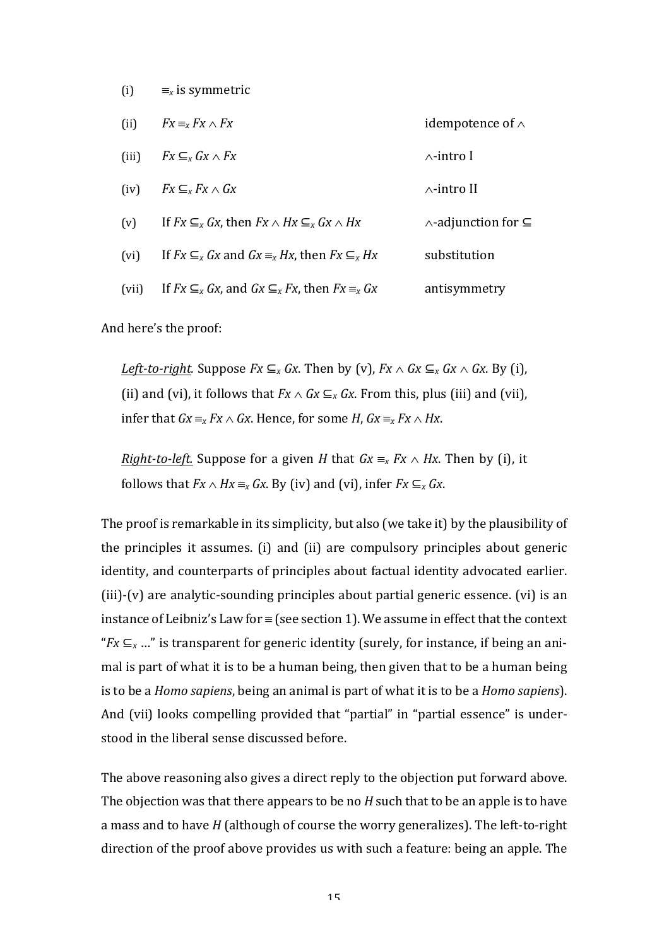| (i) | $\equiv_{x}$ is symmetric |
|-----|---------------------------|
|-----|---------------------------|

| (ii)  | $Fx \equiv_{x} Fx \wedge Fx$                                             | idempotence of $\wedge$             |
|-------|--------------------------------------------------------------------------|-------------------------------------|
| (iii) | $Fx \subseteq_x Gx \wedge Fx$                                            | $\wedge$ -intro I                   |
| (iv)  | $Fx \subseteq_x Fx \wedge Gx$                                            | $\wedge$ -intro II                  |
| (v)   | If $Fx \subseteq_x Gx$ , then $Fx \wedge Hx \subseteq_x Gx \wedge Hx$    | $\land$ -adjunction for $\subseteq$ |
| (vi)  | If $Fx \subseteq_x Gx$ and $Gx \equiv_x Hx$ , then $Fx \subseteq_x Hx$   | substitution                        |
| (vii) | If $Fx \subseteq_x Gx$ , and $Gx \subseteq_x Fx$ , then $Fx \equiv_x Gx$ | antisymmetry                        |

And here's the proof:

*Left-to-right.* Suppose  $Fx \subseteq_{x} Gx$ . Then by (v),  $Fx \wedge Gx \subseteq_{x} Gx \wedge Gx$ . By (i), (ii) and (vi), it follows that  $Fx \wedge Gx \subseteq_x Gx$ . From this, plus (iii) and (vii), infer that  $Gx \equiv_{x} Fx \wedge Gx$ . Hence, for some *H*,  $Gx \equiv_{x} Fx \wedge Hx$ .

*Right-to-left.* Suppose for a given *H* that  $Gx \equiv_{x} Fx \wedge Hx$ . Then by (i), it follows that  $Fx \wedge Hx \equiv_x Gx$ . By (iv) and (vi), infer  $Fx \subseteq_x Gx$ .

The proof is remarkable in its simplicity, but also (we take it) by the plausibility of the principles it assumes. (i) and (ii) are compulsory principles about generic identity, and counterparts of principles about factual identity advocated earlier.  $(iii)$ - $(v)$  are analytic-sounding principles about partial generic essence.  $(vi)$  is an instance of Leibniz's Law for  $\equiv$  (see section 1). We assume in effect that the context " $Fx \subseteq x$  ..." is transparent for generic identity (surely, for instance, if being an animal is part of what it is to be a human being, then given that to be a human being is to be a *Homo sapiens*, being an animal is part of what it is to be a *Homo sapiens*). And (vii) looks compelling provided that "partial" in "partial essence" is understood in the liberal sense discussed before.

The above reasoning also gives a direct reply to the objection put forward above. The objection was that there appears to be no  $H$  such that to be an apple is to have a mass and to have *H* (although of course the worry generalizes). The left-to-right direction of the proof above provides us with such a feature: being an apple. The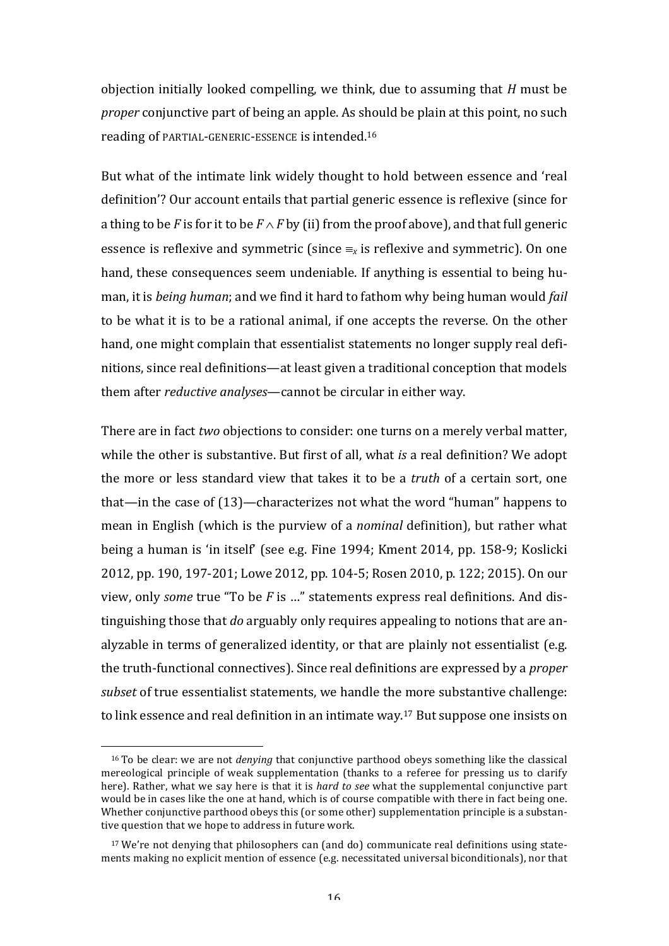objection initially looked compelling, we think, due to assuming that *H* must be *proper* conjunctive part of being an apple. As should be plain at this point, no such reading of PARTIAL-GENERIC-ESSENCE is intended.<sup>16</sup>

But what of the intimate link widely thought to hold between essence and 'real definition'? Our account entails that partial generic essence is reflexive (since for a thing to be *F* is for it to be  $F \wedge F$  by (ii) from the proof above), and that full generic essence is reflexive and symmetric (since  $\equiv_{x}$  is reflexive and symmetric). On one hand, these consequences seem undeniable. If anything is essential to being human, it is *being human*; and we find it hard to fathom why being human would *fail* to be what it is to be a rational animal, if one accepts the reverse. On the other hand, one might complain that essentialist statements no longer supply real definitions, since real definitions—at least given a traditional conception that models them after *reductive analyses*—cannot be circular in either way.

There are in fact *two* objections to consider: one turns on a merely verbal matter, while the other is substantive. But first of all, what *is* a real definition? We adopt the more or less standard view that takes it to be a *truth* of a certain sort, one that—in the case of  $(13)$ —characterizes not what the word "human" happens to mean in English (which is the purview of a *nominal* definition), but rather what being a human is 'in itself' (see e.g. Fine 1994; Kment 2014, pp. 158-9; Koslicki 2012, pp. 190, 197-201; Lowe 2012, pp. 104-5; Rosen 2010, p. 122; 2015). On our view, only *some* true "To be *F* is ..." statements express real definitions. And distinguishing those that *do* arguably only requires appealing to notions that are analyzable in terms of generalized identity, or that are plainly not essentialist (e.g. the truth-functional connectives). Since real definitions are expressed by a *proper* subset of true essentialist statements, we handle the more substantive challenge: to link essence and real definition in an intimate way.<sup>17</sup> But suppose one insists on

<sup>&</sup>lt;sup>16</sup> To be clear: we are not *denying* that conjunctive parthood obeys something like the classical mereological principle of weak supplementation (thanks to a referee for pressing us to clarify here). Rather, what we say here is that it is *hard to see* what the supplemental conjunctive part would be in cases like the one at hand, which is of course compatible with there in fact being one. Whether conjunctive parthood obeys this (or some other) supplementation principle is a substantive question that we hope to address in future work.

 $17$  We're not denying that philosophers can (and do) communicate real definitions using statements making no explicit mention of essence (e.g. necessitated universal biconditionals), nor that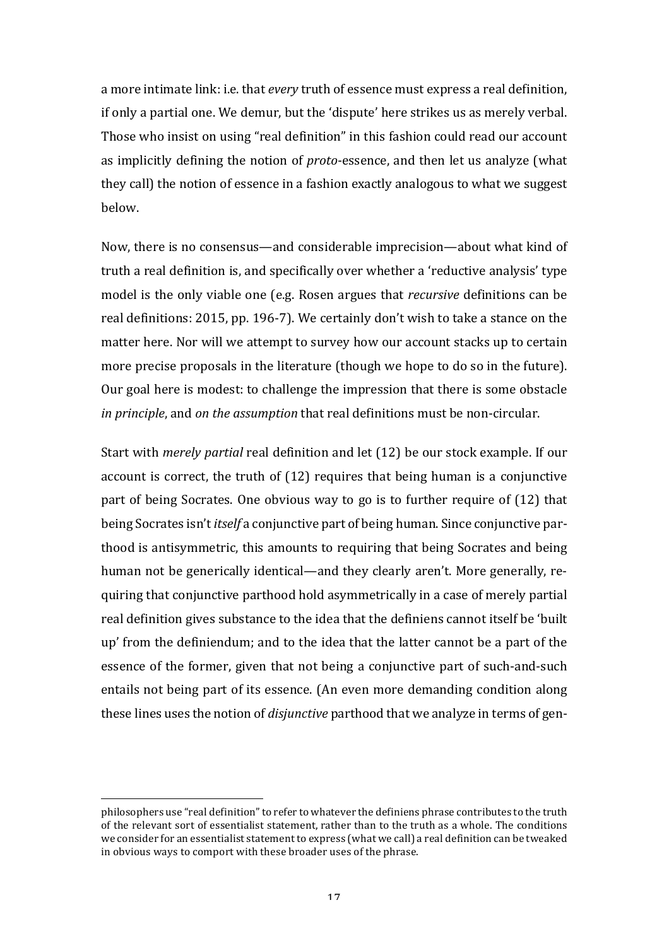a more intimate link: i.e. that *every* truth of essence must express a real definition, if only a partial one. We demur, but the 'dispute' here strikes us as merely verbal. Those who insist on using "real definition" in this fashion could read our account as implicitly defining the notion of *proto*-essence, and then let us analyze (what they call) the notion of essence in a fashion exactly analogous to what we suggest below. 

Now, there is no consensus—and considerable imprecision—about what kind of truth a real definition is, and specifically over whether a 'reductive analysis' type model is the only viable one (e.g. Rosen argues that *recursive* definitions can be real definitions: 2015, pp. 196-7). We certainly don't wish to take a stance on the matter here. Nor will we attempt to survey how our account stacks up to certain more precise proposals in the literature (though we hope to do so in the future). Our goal here is modest: to challenge the impression that there is some obstacle *in principle*, and *on the assumption* that real definitions must be non-circular.

Start with *merely partial* real definition and let (12) be our stock example. If our account is correct, the truth of  $(12)$  requires that being human is a conjunctive part of being Socrates. One obvious way to go is to further require of (12) that being Socrates isn't *itself* a conjunctive part of being human. Since conjunctive parthood is antisymmetric, this amounts to requiring that being Socrates and being human not be generically identical—and they clearly aren't. More generally, requiring that conjunctive parthood hold asymmetrically in a case of merely partial real definition gives substance to the idea that the definiens cannot itself be 'built up' from the definiendum; and to the idea that the latter cannot be a part of the essence of the former, given that not being a conjunctive part of such-and-such entails not being part of its essence. (An even more demanding condition along these lines uses the notion of *disjunctive* parthood that we analyze in terms of gen-

philosophers use "real definition" to refer to whatever the definiens phrase contributes to the truth of the relevant sort of essentialist statement, rather than to the truth as a whole. The conditions we consider for an essentialist statement to express (what we call) a real definition can be tweaked in obvious ways to comport with these broader uses of the phrase.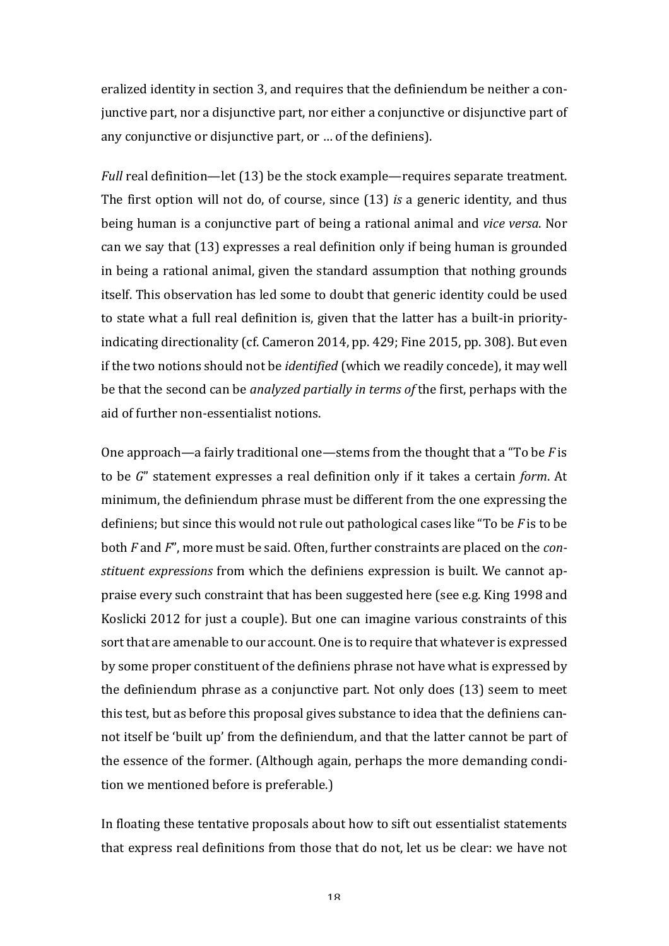eralized identity in section 3, and requires that the definiendum be neither a conjunctive part, nor a disjunctive part, nor either a conjunctive or disjunctive part of any conjunctive or disjunctive part, or ... of the definiens).

*Full* real definition—let (13) be the stock example—requires separate treatment. The first option will not do, of course, since (13) *is* a generic identity, and thus being human is a conjunctive part of being a rational animal and *vice versa*. Nor can we say that (13) expresses a real definition only if being human is grounded in being a rational animal, given the standard assumption that nothing grounds itself. This observation has led some to doubt that generic identity could be used to state what a full real definition is, given that the latter has a built-in priorityindicating directionality (cf. Cameron 2014, pp. 429; Fine 2015, pp. 308). But even if the two notions should not be *identified* (which we readily concede), it may well be that the second can be *analyzed partially in terms of* the first, perhaps with the aid of further non-essentialist notions.

One approach—a fairly traditional one—stems from the thought that a "To be *F* is to be G" statement expresses a real definition only if it takes a certain *form*. At minimum, the definiendum phrase must be different from the one expressing the definiens; but since this would not rule out pathological cases like "To be *F* is to be both *F* and *F*", more must be said. Often, further constraints are placed on the *constituent expressions* from which the definiens expression is built. We cannot appraise every such constraint that has been suggested here (see e.g. King 1998 and Koslicki 2012 for just a couple). But one can imagine various constraints of this sort that are amenable to our account. One is to require that whatever is expressed by some proper constituent of the definiens phrase not have what is expressed by the definiendum phrase as a conjunctive part. Not only does (13) seem to meet this test, but as before this proposal gives substance to idea that the definiens cannot itself be 'built up' from the definiendum, and that the latter cannot be part of the essence of the former. (Although again, perhaps the more demanding condition we mentioned before is preferable.)

In floating these tentative proposals about how to sift out essentialist statements that express real definitions from those that do not, let us be clear: we have not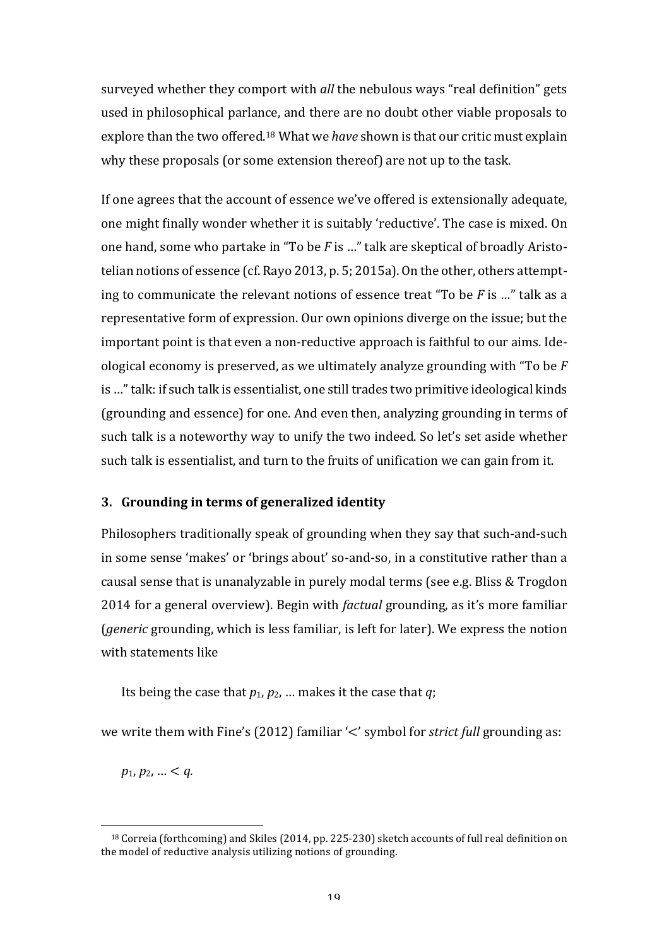surveyed whether they comport with *all* the nebulous ways "real definition" gets used in philosophical parlance, and there are no doubt other viable proposals to explore than the two offered.<sup>18</sup> What we *have* shown is that our critic must explain why these proposals (or some extension thereof) are not up to the task.

If one agrees that the account of essence we've offered is extensionally adequate, one might finally wonder whether it is suitably 'reductive'. The case is mixed. On one hand, some who partake in "To be *F* is ..." talk are skeptical of broadly Aristotelian notions of essence  $(cf.$  Rayo 2013, p. 5; 2015a). On the other, others attempting to communicate the relevant notions of essence treat "To be *F* is *...*" talk as a representative form of expression. Our own opinions diverge on the issue; but the important point is that even a non-reductive approach is faithful to our aims. Ideological economy is preserved, as we ultimately analyze grounding with "To be F is ..." talk: if such talk is essentialist, one still trades two primitive ideological kinds (grounding and essence) for one. And even then, analyzing grounding in terms of such talk is a noteworthy way to unify the two indeed. So let's set aside whether such talk is essentialist, and turn to the fruits of unification we can gain from it.

#### **3.** Grounding in terms of generalized identity

Philosophers traditionally speak of grounding when they say that such-and-such in some sense 'makes' or 'brings about' so-and-so, in a constitutive rather than a causal sense that is unanalyzable in purely modal terms (see e.g. Bliss & Trogdon 2014 for a general overview). Begin with *factual* grounding, as it's more familiar (*generic* grounding, which is less familiar, is left for later). We express the notion with statements like

Its being the case that  $p_1$ ,  $p_2$ , ... makes it the case that  $q$ ;

we write them with Fine's (2012) familiar '<' symbol for *strict full* grounding as:

 $p_1, p_2, ... < q.$ 

 $\ddot{ }$ 

 $18$  Correia (forthcoming) and Skiles (2014, pp. 225-230) sketch accounts of full real definition on the model of reductive analysis utilizing notions of grounding.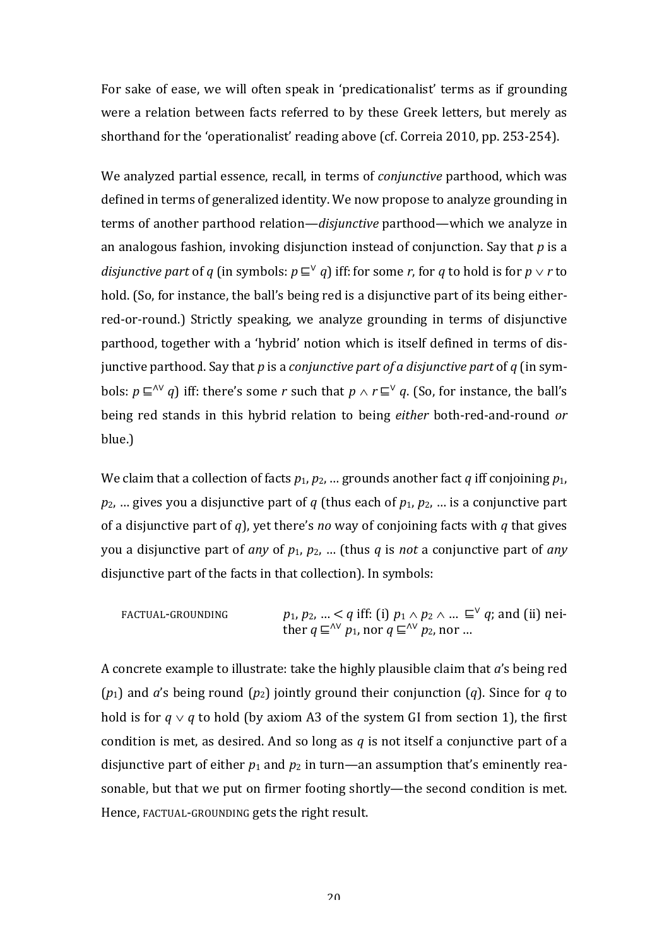For sake of ease, we will often speak in 'predicationalist' terms as if grounding were a relation between facts referred to by these Greek letters, but merely as shorthand for the 'operationalist' reading above (cf. Correia 2010, pp. 253-254).

We analyzed partial essence, recall, in terms of *conjunctive* parthood, which was defined in terms of generalized identity. We now propose to analyze grounding in terms of another parthood relation—*disjunctive* parthood—which we analyze in an analogous fashion, invoking disjunction instead of conjunction. Say that  $p$  is a *disjunctive part* of *q* (in symbols:  $p \subseteq V$  *q*) iff: for some *r*, for *q* to hold is for  $p \vee r$  to hold. (So, for instance, the ball's being red is a disjunctive part of its being eitherred-or-round.) Strictly speaking, we analyze grounding in terms of disjunctive parthood, together with a 'hybrid' notion which is itself defined in terms of disjunctive parthood. Say that *p* is a *conjunctive part of a disjunctive part* of *q* (in symbols:  $p ⊆^{\wedge\vee} q$  iff: there's some *r* such that  $p \wedge r ⊆^{\vee} q$ . (So, for instance, the ball's being red stands in this hybrid relation to being *either* both-red-and-round *or* blue.) 

We claim that a collection of facts  $p_1$ ,  $p_2$ , ... grounds another fact *q* iff conjoining  $p_1$ ,  $p_2$ , ... gives you a disjunctive part of *q* (thus each of  $p_1$ ,  $p_2$ , ... is a conjunctive part of a disjunctive part of  $q$ ), yet there's *no* way of conjoining facts with  $q$  that gives you a disjunctive part of *any* of  $p_1$ ,  $p_2$ , ... (thus *q* is *not* a conjunctive part of *any* disjunctive part of the facts in that collection). In symbols:

FACTUAL-GROUNDING 
$$
p_1, p_2, \ldots < q
$$
 iff: (i)  $p_1 \wedge p_2 \wedge \ldots \sqsubseteq^{\vee} q$ ; and (ii) neither  $q \sqsubseteq^{\wedge\vee} p_1$ , nor  $q \sqsubseteq^{\wedge\vee} p_2$ , nor ...

A concrete example to illustrate: take the highly plausible claim that  $a$ 's being red ( $p_1$ ) and *a*'s being round ( $p_2$ ) jointly ground their conjunction (*q*). Since for *q* to hold is for  $q \vee q$  to hold (by axiom A3 of the system GI from section 1), the first condition is met, as desired. And so long as  $q$  is not itself a conjunctive part of a disjunctive part of either  $p_1$  and  $p_2$  in turn—an assumption that's eminently reasonable, but that we put on firmer footing shortly—the second condition is met. Hence, FACTUAL-GROUNDING gets the right result.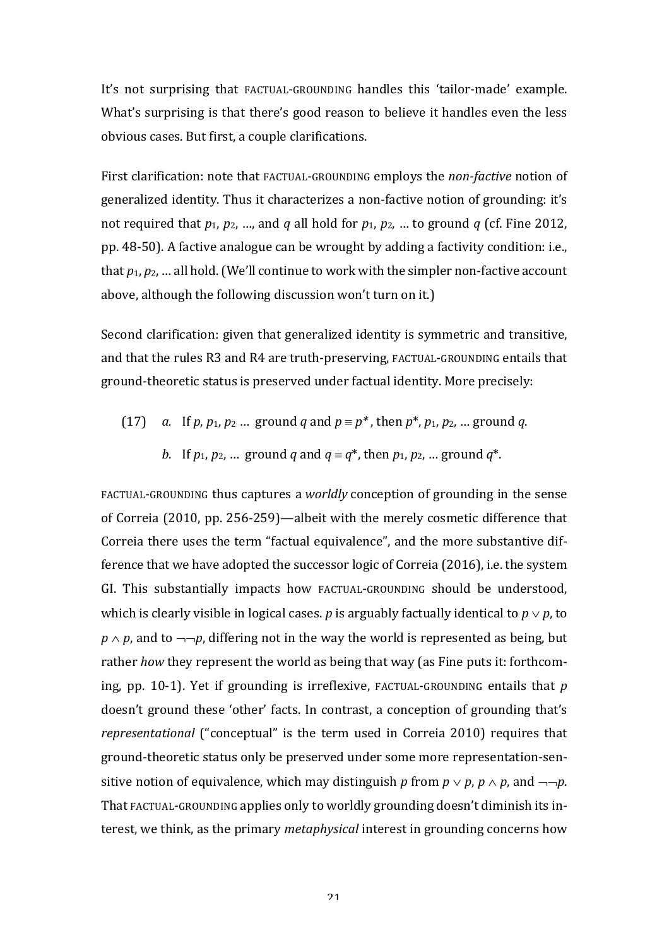It's not surprising that FACTUAL-GROUNDING handles this 'tailor-made' example. What's surprising is that there's good reason to believe it handles even the less obvious cases. But first, a couple clarifications.

First clarification: note that FACTUAL-GROUNDING employs the *non-factive* notion of generalized identity. Thus it characterizes a non-factive notion of grounding: it's not required that  $p_1$ ,  $p_2$ , ..., and *q* all hold for  $p_1$ ,  $p_2$ , ... to ground *q* (cf. Fine 2012, pp. 48-50). A factive analogue can be wrought by adding a factivity condition: i.e., that  $p_1$ ,  $p_2$ , ... all hold. (We'll continue to work with the simpler non-factive account above, although the following discussion won't turn on it.)

Second clarification: given that generalized identity is symmetric and transitive, and that the rules R3 and R4 are truth-preserving, FACTUAL-GROUNDING entails that ground-theoretic status is preserved under factual identity. More precisely:

- (17) *a.* If *p*,  $p_1$ ,  $p_2$  ... ground *q* and  $p \equiv p^*$ , then  $p^*$ ,  $p_1$ ,  $p_2$ , ... ground *q*.
	- *b*. If  $p_1$ ,  $p_2$ , ... ground *q* and  $q \equiv q^*$ , then  $p_1$ ,  $p_2$ , ... ground  $q^*$ .

FACTUAL-GROUNDING thus captures a *worldly* conception of grounding in the sense of Correia (2010, pp. 256-259)—albeit with the merely cosmetic difference that Correia there uses the term "factual equivalence", and the more substantive difference that we have adopted the successor logic of Correia (2016), i.e. the system GI. This substantially impacts how FACTUAL-GROUNDING should be understood, which is clearly visible in logical cases. *p* is arguably factually identical to  $p \vee p$ , to  $p \wedge p$ , and to  $\neg\neg p$ , differing not in the way the world is represented as being, but rather *how* they represent the world as being that way (as Fine puts it: forthcoming, pp. 10-1). Yet if grounding is irreflexive,  $FACTUAL-GROUNDING$  entails that  $p$ doesn't ground these 'other' facts. In contrast, a conception of grounding that's *representational* ("conceptual" is the term used in Correia 2010) requires that ground-theoretic status only be preserved under some more representation-sensitive notion of equivalence, which may distinguish *p* from  $p \vee p$ ,  $p \wedge p$ , and  $\neg\neg p$ . That FACTUAL-GROUNDING applies only to worldly grounding doesn't diminish its interest, we think, as the primary *metaphysical* interest in grounding concerns how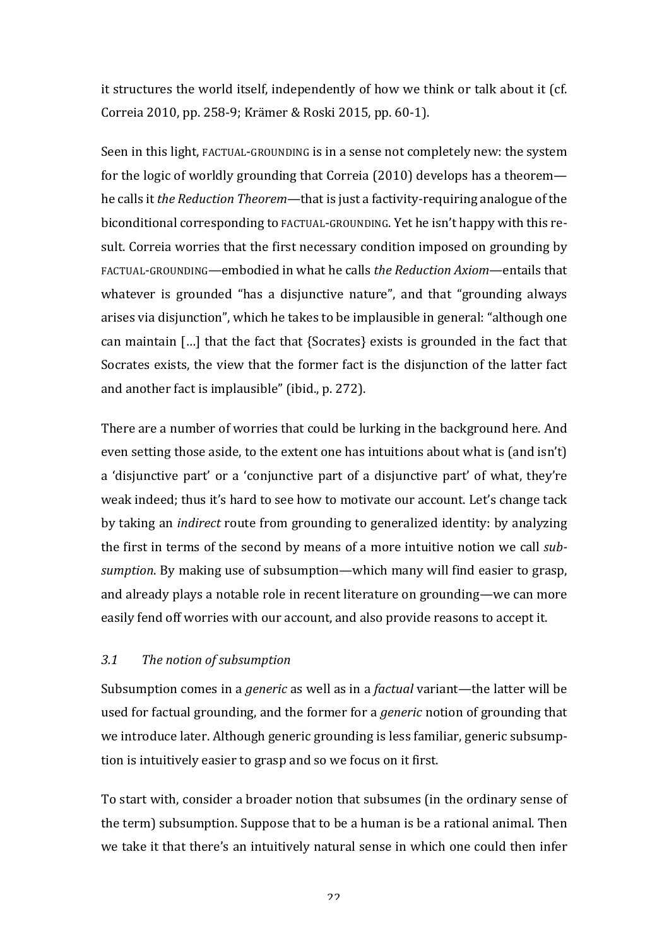it structures the world itself, independently of how we think or talk about it (cf. Correia 2010, pp. 258-9; Krämer & Roski 2015, pp. 60-1).

Seen in this light, FACTUAL-GROUNDING is in a sense not completely new: the system for the logic of worldly grounding that Correia (2010) develops has a theorem he calls it *the Reduction Theorem*—that is just a factivity-requiring analogue of the biconditional corresponding to FACTUAL-GROUNDING. Yet he isn't happy with this result. Correia worries that the first necessary condition imposed on grounding by FACTUAL-GROUNDING—embodied in what he calls *the Reduction Axiom*—entails that whatever is grounded "has a disjunctive nature", and that "grounding always arises via disjunction", which he takes to be implausible in general: "although one can maintain [...] that the fact that {Socrates} exists is grounded in the fact that Socrates exists, the view that the former fact is the disjunction of the latter fact and another fact is implausible" (ibid., p. 272).

There are a number of worries that could be lurking in the background here. And even setting those aside, to the extent one has intuitions about what is (and isn't) a 'disjunctive part' or a 'conjunctive part of a disjunctive part' of what, they're weak indeed; thus it's hard to see how to motivate our account. Let's change tack by taking an *indirect* route from grounding to generalized identity: by analyzing the first in terms of the second by means of a more intuitive notion we call *sub*sumption. By making use of subsumption—which many will find easier to grasp, and already plays a notable role in recent literature on grounding—we can more easily fend off worries with our account, and also provide reasons to accept it.

## 3.1 The notion of subsumption

Subsumption comes in a *generic* as well as in a *factual* variant—the latter will be used for factual grounding, and the former for a *generic* notion of grounding that we introduce later. Although generic grounding is less familiar, generic subsumption is intuitively easier to grasp and so we focus on it first.

To start with, consider a broader notion that subsumes (in the ordinary sense of the term) subsumption. Suppose that to be a human is be a rational animal. Then we take it that there's an intuitively natural sense in which one could then infer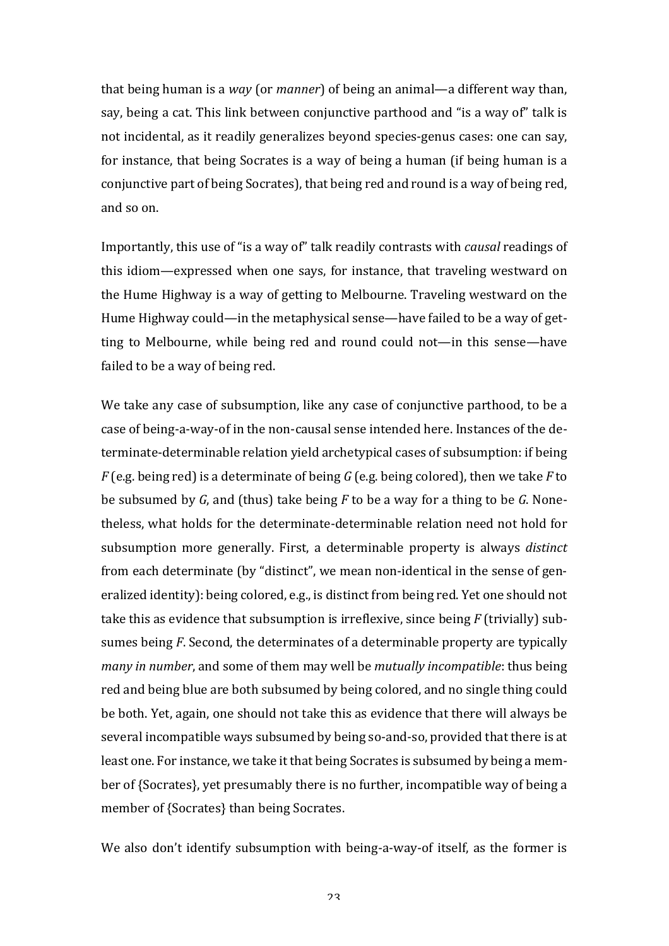that being human is a *way* (or *manner*) of being an animal—a different way than, say, being a cat. This link between conjunctive parthood and "is a way of" talk is not incidental, as it readily generalizes beyond species-genus cases: one can say, for instance, that being Socrates is a way of being a human (if being human is a conjunctive part of being Socrates), that being red and round is a way of being red, and so on.

Importantly, this use of "is a way of" talk readily contrasts with *causal* readings of this idiom—expressed when one says, for instance, that traveling westward on the Hume Highway is a way of getting to Melbourne. Traveling westward on the Hume Highway could—in the metaphysical sense—have failed to be a way of getting to Melbourne, while being red and round could not—in this sense—have failed to be a way of being red.

We take any case of subsumption, like any case of conjunctive parthood, to be a case of being-a-way-of in the non-causal sense intended here. Instances of the determinate-determinable relation yield archetypical cases of subsumption: if being  $F$  (e.g. being red) is a determinate of being  $G$  (e.g. being colored), then we take  $F$  to be subsumed by *G*, and (thus) take being *F* to be a way for a thing to be *G*. Nonetheless, what holds for the determinate-determinable relation need not hold for subsumption more generally. First, a determinable property is always *distinct* from each determinate (by "distinct", we mean non-identical in the sense of generalized identity): being colored, e.g., is distinct from being red. Yet one should not take this as evidence that subsumption is irreflexive, since being  $F$  (trivially) subsumes being *F*. Second, the determinates of a determinable property are typically *many* in number, and some of them may well be *mutually incompatible*: thus being red and being blue are both subsumed by being colored, and no single thing could be both. Yet, again, one should not take this as evidence that there will always be several incompatible ways subsumed by being so-and-so, provided that there is at least one. For instance, we take it that being Socrates is subsumed by being a member of {Socrates}, yet presumably there is no further, incompatible way of being a member of {Socrates} than being Socrates.

We also don't identify subsumption with being-a-way-of itself, as the former is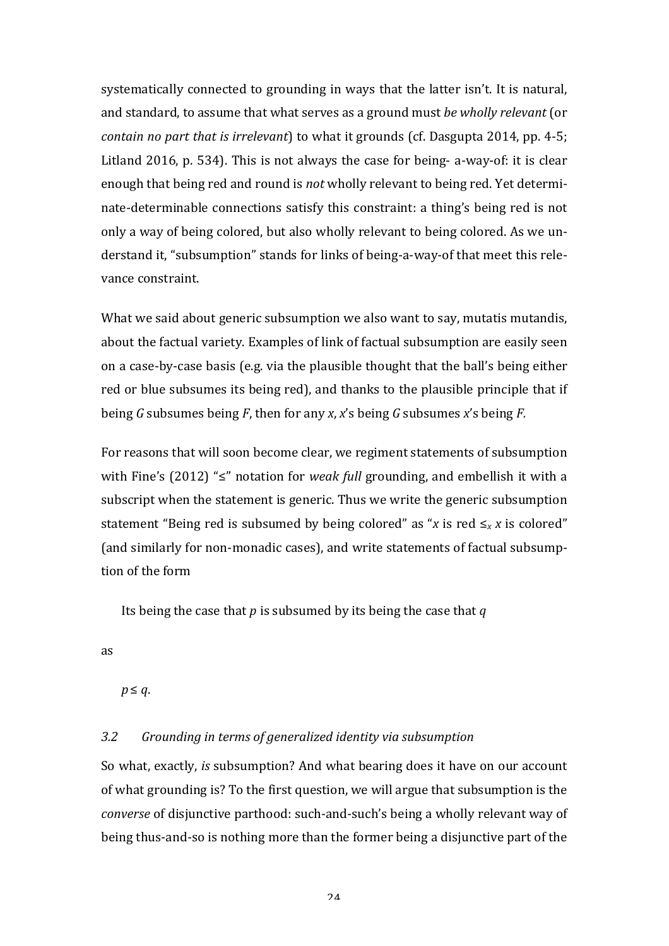systematically connected to grounding in ways that the latter isn't. It is natural, and standard, to assume that what serves as a ground must be wholly relevant (or *contain no part that is irrelevant*) to what it grounds (cf. Dasgupta 2014, pp. 4-5; Litland 2016, p. 534). This is not always the case for being- a-way-of: it is clear enough that being red and round is *not* wholly relevant to being red. Yet determinate-determinable connections satisfy this constraint: a thing's being red is not only a way of being colored, but also wholly relevant to being colored. As we understand it, "subsumption" stands for links of being-a-way-of that meet this relevance constraint.

What we said about generic subsumption we also want to say, mutatis mutandis, about the factual variety. Examples of link of factual subsumption are easily seen on a case-by-case basis (e.g. via the plausible thought that the ball's being either red or blue subsumes its being red), and thanks to the plausible principle that if being *G* subsumes being *F*, then for any *x*, *x*'s being *G* subsumes *x*'s being *F*.

For reasons that will soon become clear, we regiment statements of subsumption with Fine's (2012) "≤" notation for *weak full* grounding, and embellish it with a subscript when the statement is generic. Thus we write the generic subsumption statement "Being red is subsumed by being colored" as "*x* is red  $\leq$ <sub>*x*</sub> *x* is colored" (and similarly for non-monadic cases), and write statements of factual subsumption of the form

Its being the case that  $p$  is subsumed by its being the case that  $q$ 

as 

 $p \leq q$ .

# 3.2 *Grounding in terms of generalized identity via subsumption*

So what, exactly, *is* subsumption? And what bearing does it have on our account of what grounding is? To the first question, we will argue that subsumption is the *converse* of disjunctive parthood: such-and-such's being a wholly relevant way of being thus-and-so is nothing more than the former being a disjunctive part of the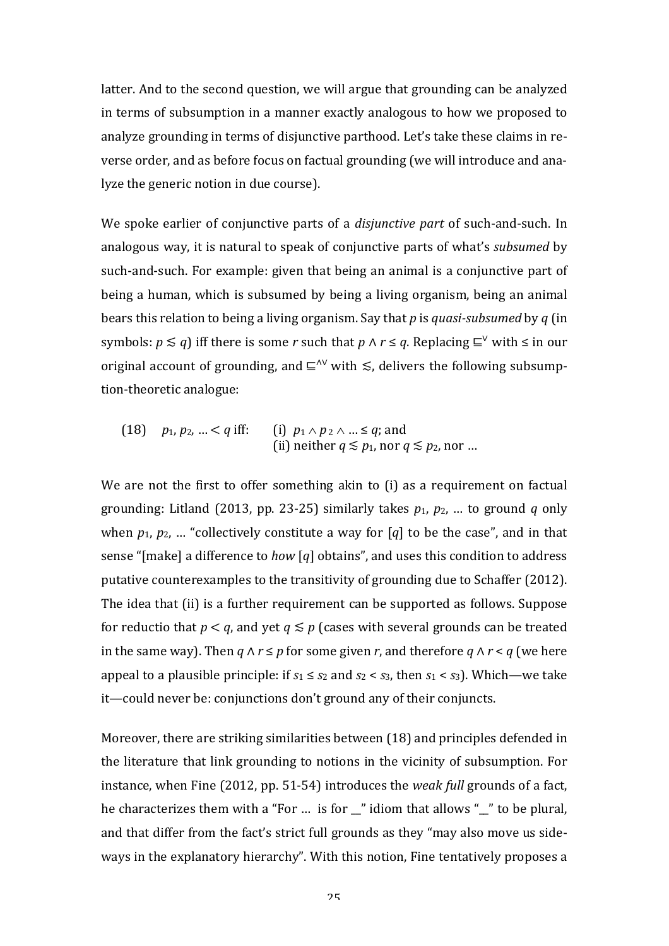latter. And to the second question, we will argue that grounding can be analyzed in terms of subsumption in a manner exactly analogous to how we proposed to analyze grounding in terms of disjunctive parthood. Let's take these claims in reverse order, and as before focus on factual grounding (we will introduce and analyze the generic notion in due course).

We spoke earlier of conjunctive parts of a *disjunctive part* of such-and-such. In analogous way, it is natural to speak of conjunctive parts of what's *subsumed* by such-and-such. For example: given that being an animal is a conjunctive part of being a human, which is subsumed by being a living organism, being an animal bears this relation to being a living organism. Say that *p* is *quasi-subsumed* by *q* (in symbols:  $p \leq q$ ) iff there is some *r* such that  $p \wedge r \leq q$ . Replacing  $\sqsubseteq^{\vee}$  with  $\leq$  in our original account of grounding, and  $\sqsubseteq^N v$  with  $\leq$ , delivers the following subsumption-theoretic analogue:

(18) 
$$
p_1, p_2, \ldots < q
$$
 iff: \n(i)  $p_1 \wedge p_2 \wedge \ldots \leq q$ ; and \n(ii) neither  $q \leq p_1$ , nor  $q \leq p_2$ , nor ...

We are not the first to offer something akin to  $(i)$  as a requirement on factual grounding: Litland (2013, pp. 23-25) similarly takes  $p_1$ ,  $p_2$ , ... to ground q only when  $p_1$ ,  $p_2$ , ... "collectively constitute a way for [q] to be the case", and in that sense "[make] a difference to *how* [q] obtains", and uses this condition to address putative counterexamples to the transitivity of grounding due to Schaffer (2012). The idea that (ii) is a further requirement can be supported as follows. Suppose for reductio that  $p < q$ , and yet  $q \leq p$  (cases with several grounds can be treated in the same way). Then  $q \wedge r \leq p$  for some given *r*, and therefore  $q \wedge r < q$  (we here appeal to a plausible principle: if  $s_1 \leq s_2$  and  $s_2 \leq s_3$ , then  $s_1 \leq s_3$ ). Which—we take it—could never be: conjunctions don't ground any of their conjuncts.

Moreover, there are striking similarities between (18) and principles defended in the literature that link grounding to notions in the vicinity of subsumption. For instance, when Fine (2012, pp. 51-54) introduces the *weak full* grounds of a fact, he characterizes them with a "For  $\ldots$  is for  $\ldots$ " idiom that allows " $\ldots$ " to be plural, and that differ from the fact's strict full grounds as they "may also move us sideways in the explanatory hierarchy". With this notion, Fine tentatively proposes a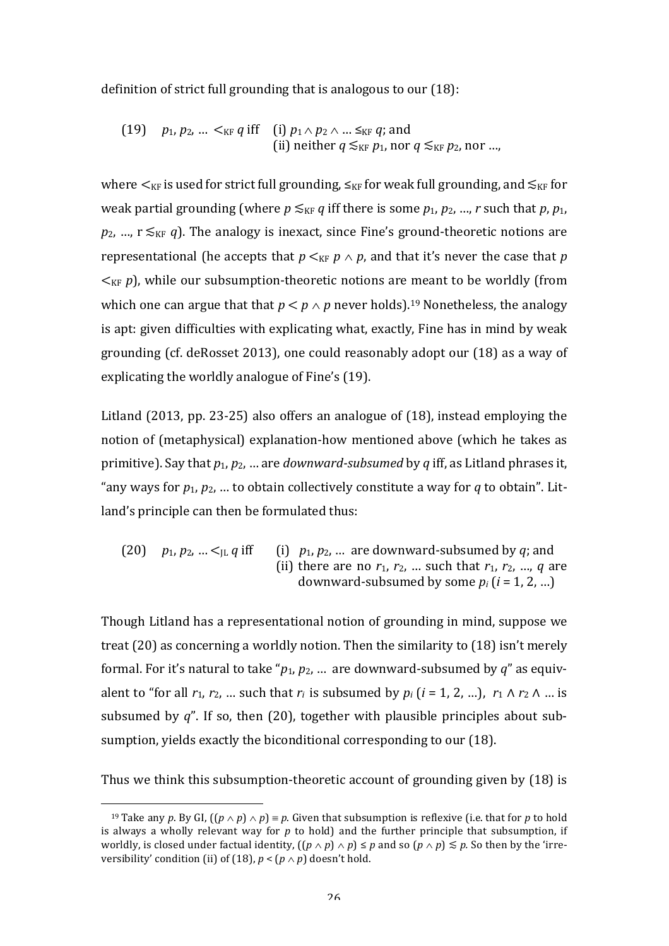definition of strict full grounding that is analogous to our  $(18)$ :

(19) 
$$
p_1, p_2, \ldots <_{\text{KF}} q
$$
 iff (i)  $p_1 \wedge p_2 \wedge \ldots \leq_{\text{KF}} q$ ; and  
(ii) neither  $q \leq_{\text{KF}} p_1$ , nor  $q \leq_{\text{KF}} p_2$ , nor ...,

where  $\leq_{KF}$  is used for strict full grounding,  $\leq_{KF}$  for weak full grounding, and  $\leq_{KF}$  for weak partial grounding (where  $p \leq_{KF} q$  iff there is some  $p_1$ ,  $p_2$ , ..., *r* such that  $p$ ,  $p_1$ ,  $p_2$ , ...,  $r \leq_{KF} q$ ). The analogy is inexact, since Fine's ground-theoretic notions are representational (he accepts that  $p \lt_{KF} p \wedge p$ , and that it's never the case that p  $\lt_{KF} p$ ), while our subsumption-theoretic notions are meant to be worldly (from which one can argue that that  $p < p \wedge p$  never holds).<sup>19</sup> Nonetheless, the analogy is apt: given difficulties with explicating what, exactly, Fine has in mind by weak grounding (cf. deRosset 2013), one could reasonably adopt our  $(18)$  as a way of explicating the worldly analogue of Fine's (19).

Litland  $(2013, pp. 23-25)$  also offers an analogue of  $(18)$ , instead employing the notion of (metaphysical) explanation-how mentioned above (which he takes as primitive). Say that  $p_1$ ,  $p_2$ , ... are *downward-subsumed* by *q* iff, as Litland phrases it, "any ways for  $p_1$ ,  $p_2$ , ... to obtain collectively constitute a way for q to obtain". Litland's principle can then be formulated thus:

(20) 
$$
p_1, p_2, \ldots <_{JL} q
$$
 iff \t(i)  $p_1, p_2, \ldots$  are downward-subsumed by  $q$ ; and \t(ii) there are no  $r_1, r_2, \ldots$  such that  $r_1, r_2, \ldots, q$  are downward-subsumed by some  $p_i$  ( $i = 1, 2, \ldots$ )

Though Litland has a representational notion of grounding in mind, suppose we treat  $(20)$  as concerning a worldly notion. Then the similarity to  $(18)$  isn't merely formal. For it's natural to take " $p_1$ ,  $p_2$ , ... are downward-subsumed by  $q$ " as equivalent to "for all  $r_1$ ,  $r_2$ , ... such that  $r_i$  is subsumed by  $p_i$  ( $i = 1, 2, ...$ ),  $r_1 \wedge r_2 \wedge ...$  is subsumed by  $q$ ". If so, then (20), together with plausible principles about subsumption, yields exactly the biconditional corresponding to our (18).

Thus we think this subsumption-theoretic account of grounding given by  $(18)$  is

<sup>&</sup>lt;sup>19</sup> Take any *p*. By GI,  $((p \wedge p) \wedge p) = p$ . Given that subsumption is reflexive (i.e. that for *p* to hold is always a wholly relevant way for  $p$  to hold) and the further principle that subsumption, if worldly, is closed under factual identity,  $((p \wedge p) \wedge p) \leq p$  and so  $(p \wedge p) \leq p$ . So then by the 'irreversibility' condition (ii) of (18),  $p < (p \wedge p)$  doesn't hold.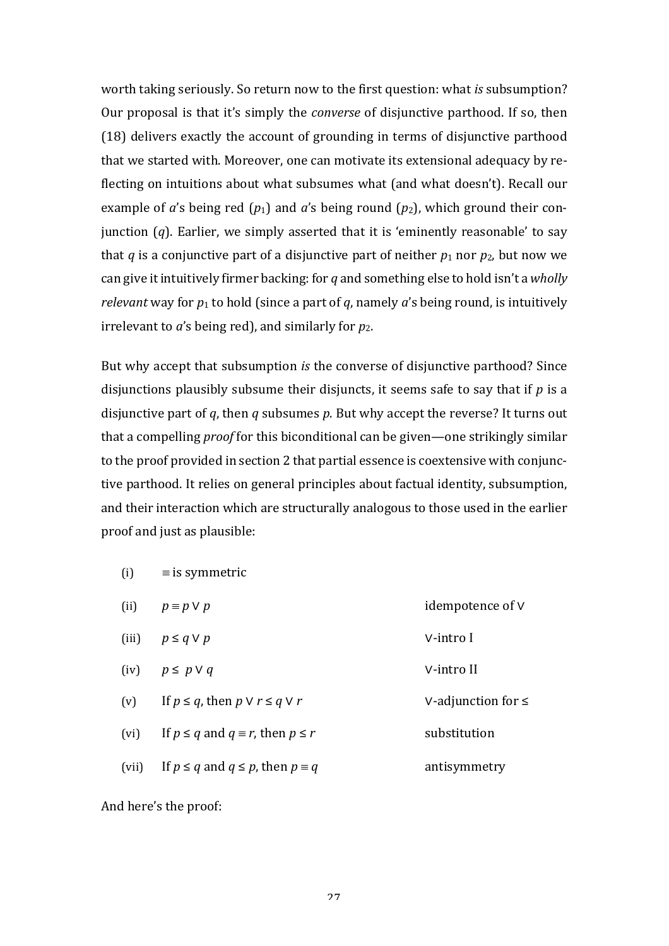worth taking seriously. So return now to the first question: what *is* subsumption? Our proposal is that it's simply the *converse* of disjunctive parthood. If so, then (18) delivers exactly the account of grounding in terms of disjunctive parthood that we started with. Moreover, one can motivate its extensional adequacy by reflecting on intuitions about what subsumes what (and what doesn't). Recall our example of *a*'s being red  $(p_1)$  and *a*'s being round  $(p_2)$ , which ground their conjunction  $(q)$ . Earlier, we simply asserted that it is 'eminently reasonable' to say that *q* is a conjunctive part of a disjunctive part of neither  $p_1$  nor  $p_2$ , but now we can give it intuitively firmer backing: for *q* and something else to hold isn't a *wholly relevant* way for  $p_1$  to hold (since a part of q, namely q's being round, is intuitively irrelevant to *a*'s being red), and similarly for *p*<sub>2</sub>.

But why accept that subsumption *is* the converse of disjunctive parthood? Since disjunctions plausibly subsume their disjuncts, it seems safe to say that if  $p$  is a disjunctive part of *q*, then *q* subsumes *p*. But why accept the reverse? It turns out that a compelling *proof* for this biconditional can be given—one strikingly similar to the proof provided in section 2 that partial essence is coextensive with conjunctive parthood. It relies on general principles about factual identity, subsumption, and their interaction which are structurally analogous to those used in the earlier proof and just as plausible:

| (i)   | $\equiv$ is symmetric                            |                            |
|-------|--------------------------------------------------|----------------------------|
| (ii)  | $p \equiv p \vee p$                              | idempotence of V           |
| (iii) | $p \leq q \vee p$                                | V-intro I                  |
| (iv)  | $p \leq p \vee q$                                | V-intro II                 |
| (v)   | If $p \le q$ , then $p \vee r \le q \vee r$      | $V$ -adjunction for $\leq$ |
| (vi)  | If $p \leq q$ and $q \equiv r$ , then $p \leq r$ | substitution               |
| (vii) | If $p \leq q$ and $q \leq p$ , then $p \equiv q$ | antisymmetry               |
|       |                                                  |                            |

And here's the proof: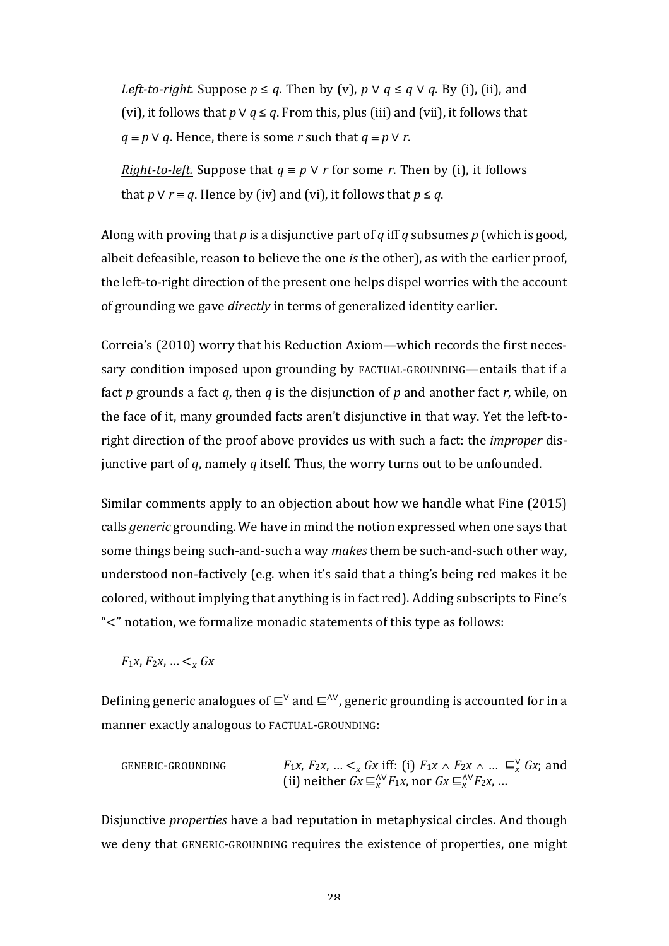*Left-to-right.* Suppose  $p \leq q$ . Then by (v),  $p \vee q \leq q \vee q$ . By (i), (ii), and (vi), it follows that  $p \vee q \leq q$ . From this, plus (iii) and (vii), it follows that  $q \equiv p \vee q$ . Hence, there is some *r* such that  $q \equiv p \vee r$ .

*Right-to-left.* Suppose that  $q \equiv p \vee r$  for some *r*. Then by (i), it follows that *p*  $\vee$  *r* = *q*. Hence by (iv) and (vi), it follows that *p*  $\leq$  *q*.

Along with proving that  $p$  is a disjunctive part of  $q$  iff  $q$  subsumes  $p$  (which is good, albeit defeasible, reason to believe the one *is* the other), as with the earlier proof, the left-to-right direction of the present one helps dispel worries with the account of grounding we gave *directly* in terms of generalized identity earlier.

Correia's (2010) worry that his Reduction Axiom—which records the first necessary condition imposed upon grounding by FACTUAL-GROUNDING—entails that if a fact *p* grounds a fact *q*, then *q* is the disjunction of *p* and another fact *r*, while, on the face of it, many grounded facts aren't disjunctive in that way. Yet the left-toright direction of the proof above provides us with such a fact: the *improper* disjunctive part of q, namely q itself. Thus, the worry turns out to be unfounded.

Similar comments apply to an objection about how we handle what Fine (2015) calls *generic* grounding. We have in mind the notion expressed when one says that some things being such-and-such a way *makes* them be such-and-such other way, understood non-factively (e.g. when it's said that a thing's being red makes it be colored, without implying that anything is in fact red). Adding subscripts to Fine's " $\lt$ " notation, we formalize monadic statements of this type as follows:

*F*<sub>1</sub>*x*, *F*<sub>2</sub>*x*, …  $\lt$ <sub>*x*</sub> *Gx* 

Defining generic analogues of  $\sqsubseteq^{\vee}$  and  $\sqsubseteq^{\wedge\vee}$ , generic grounding is accounted for in a manner exactly analogous to FACTUAL-GROUNDING:

$$
\begin{array}{ll}\n\text{GENERALC-GROWDDING} & F_1x, F_2x, \dots <_{x} Gx \text{ iff: (i) } F_1x \land F_2x \land \dots \subseteq_{x}^{\vee} Gx \text{; and} \\
\text{(ii) neither } Gx \sqsubseteq_{x}^{\wedge \vee} F_1x \text{, nor } Gx \sqsubseteq_{x}^{\wedge \vee} F_2x \text{, ...}\n\end{array}
$$

Disjunctive *properties* have a bad reputation in metaphysical circles. And though we deny that GENERIC-GROUNDING requires the existence of properties, one might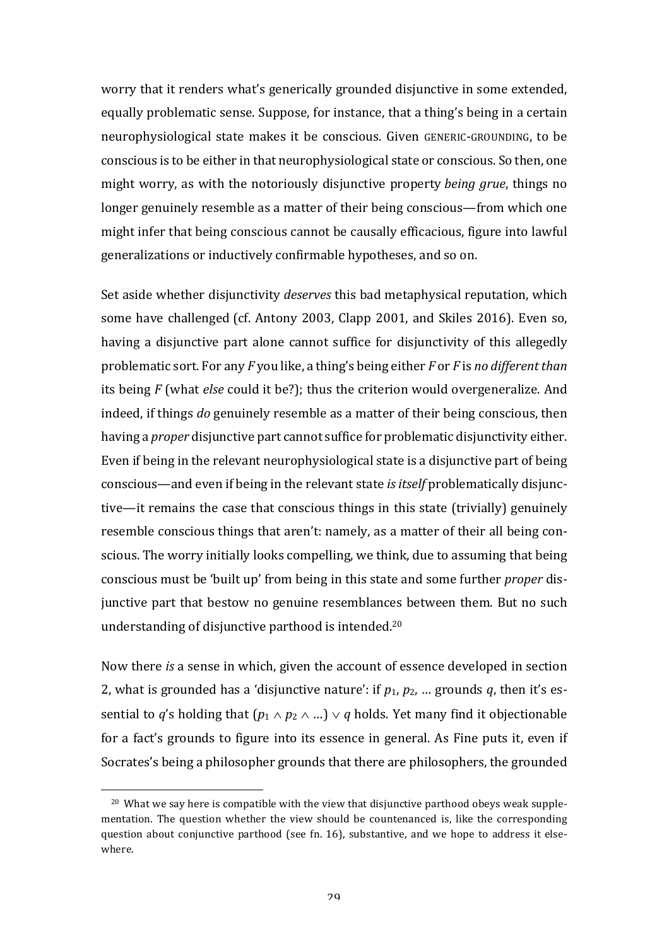worry that it renders what's generically grounded disjunctive in some extended, equally problematic sense. Suppose, for instance, that a thing's being in a certain neurophysiological state makes it be conscious. Given GENERIC-GROUNDING, to be conscious is to be either in that neurophysiological state or conscious. So then, one might worry, as with the notoriously disjunctive property *being grue*, things no longer genuinely resemble as a matter of their being conscious—from which one might infer that being conscious cannot be causally efficacious, figure into lawful generalizations or inductively confirmable hypotheses, and so on.

Set aside whether disjunctivity *deserves* this bad metaphysical reputation, which some have challenged (cf. Antony 2003, Clapp 2001, and Skiles 2016). Even so, having a disjunctive part alone cannot suffice for disjunctivity of this allegedly problematic sort. For any *F* you like, a thing's being either *F* or *F* is *no different than* its being *F* (what *else* could it be?); thus the criterion would overgeneralize. And indeed, if things *do* genuinely resemble as a matter of their being conscious, then having a *proper* disjunctive part cannot suffice for problematic disjunctivity either. Even if being in the relevant neurophysiological state is a disjunctive part of being conscious—and even if being in the relevant state *is itself* problematically disjunctive—it remains the case that conscious things in this state (trivially) genuinely resemble conscious things that aren't: namely, as a matter of their all being conscious. The worry initially looks compelling, we think, due to assuming that being conscious must be 'built up' from being in this state and some further *proper* disjunctive part that bestow no genuine resemblances between them. But no such understanding of disjunctive parthood is intended.<sup>20</sup>

Now there *is* a sense in which, given the account of essence developed in section 2, what is grounded has a 'disjunctive nature': if  $p_1$ ,  $p_2$ , ... grounds  $q$ , then it's essential to *q*'s holding that  $(p_1 \wedge p_2 \wedge ...) \vee q$  holds. Yet many find it objectionable for a fact's grounds to figure into its essence in general. As Fine puts it, even if Socrates's being a philosopher grounds that there are philosophers, the grounded

 $20$  What we say here is compatible with the view that disjunctive parthood obeys weak supplementation. The question whether the view should be countenanced is, like the corresponding question about conjunctive parthood (see fn. 16), substantive, and we hope to address it elsewhere.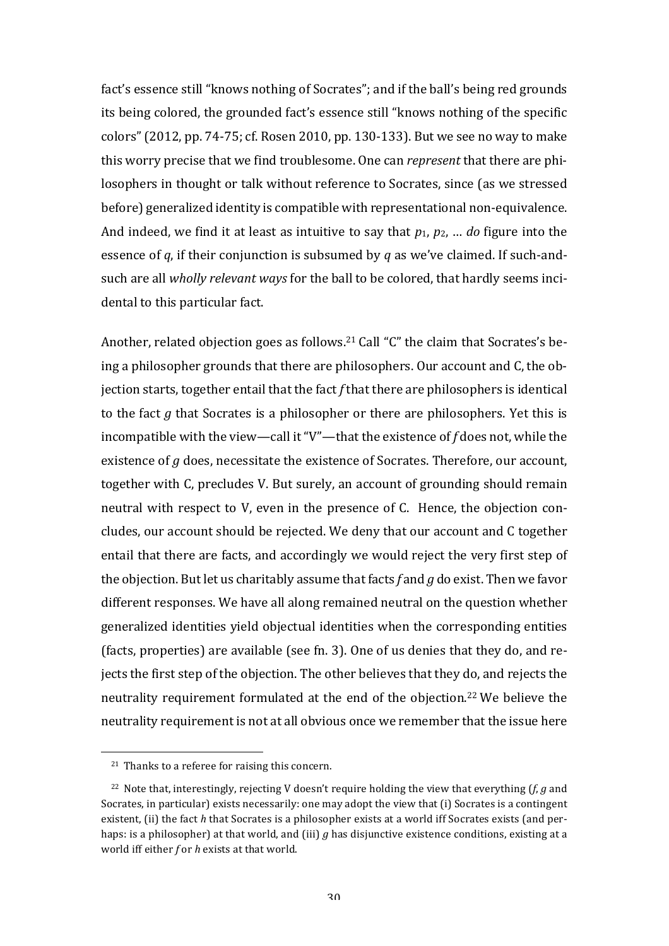fact's essence still "knows nothing of Socrates"; and if the ball's being red grounds its being colored, the grounded fact's essence still "knows nothing of the specific colors" (2012, pp. 74-75; cf. Rosen 2010, pp. 130-133). But we see no way to make this worry precise that we find troublesome. One can *represent* that there are philosophers in thought or talk without reference to Socrates, since (as we stressed before) generalized identity is compatible with representational non-equivalence. And indeed, we find it at least as intuitive to say that  $p_1$ ,  $p_2$ , ... *do* figure into the essence of  $q$ , if their conjunction is subsumed by  $q$  as we've claimed. If such-andsuch are all *wholly relevant ways* for the ball to be colored, that hardly seems incidental to this particular fact.

Another, related objection goes as follows.<sup>21</sup> Call "C" the claim that Socrates's being a philosopher grounds that there are philosophers. Our account and C, the objection starts, together entail that the fact f that there are philosophers is identical to the fact  $q$  that Socrates is a philosopher or there are philosophers. Yet this is incompatible with the view—call it "V"—that the existence of *f* does not, while the existence of  $g$  does, necessitate the existence of Socrates. Therefore, our account, together with C, precludes V. But surely, an account of grounding should remain neutral with respect to V, even in the presence of C. Hence, the objection concludes, our account should be rejected. We deny that our account and C together entail that there are facts, and accordingly we would reject the very first step of the objection. But let us charitably assume that facts  $f$  and  $g$  do exist. Then we favor different responses. We have all along remained neutral on the question whether generalized identities yield objectual identities when the corresponding entities (facts, properties) are available (see fn. 3). One of us denies that they do, and rejects the first step of the objection. The other believes that they do, and rejects the neutrality requirement formulated at the end of the objection.<sup>22</sup> We believe the neutrality requirement is not at all obvious once we remember that the issue here

 $21$  Thanks to a referee for raising this concern.

<sup>&</sup>lt;sup>22</sup> Note that, interestingly, rejecting V doesn't require holding the view that everything (*f*, *g* and Socrates, in particular) exists necessarily: one may adopt the view that  $(i)$  Socrates is a contingent existent. (ii) the fact h that Socrates is a philosopher exists at a world iff Socrates exists (and perhaps: is a philosopher) at that world, and (iii)  $g$  has disjunctive existence conditions, existing at a world iff either *f* or *h* exists at that world.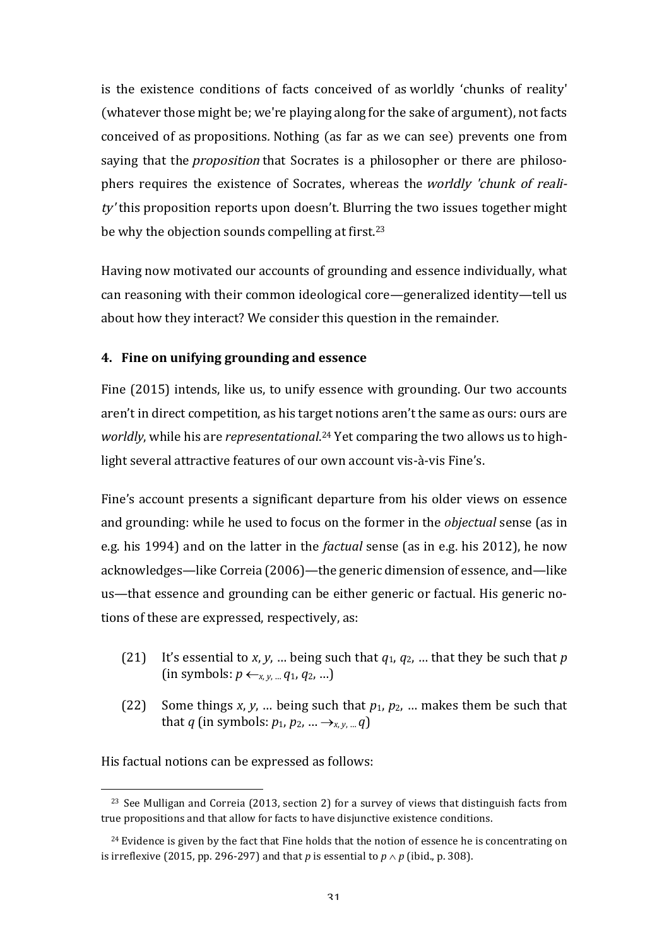is the existence conditions of facts conceived of as worldly 'chunks of reality' (whatever those might be; we're playing along for the sake of argument), not facts conceived of as propositions. Nothing (as far as we can see) prevents one from saying that the *proposition* that Socrates is a philosopher or there are philosophers requires the existence of Socrates, whereas the worldly 'chunk of reali $ty'$  this proposition reports upon doesn't. Blurring the two issues together might be why the objection sounds compelling at first.<sup>23</sup>

Having now motivated our accounts of grounding and essence individually, what can reasoning with their common ideological core—generalized identity—tell us about how they interact? We consider this question in the remainder.

# **4. Fine on unifying grounding and essence**

Fine (2015) intends, like us, to unify essence with grounding. Our two accounts aren't in direct competition, as his target notions aren't the same as ours: ours are worldly, while his are *representational*.<sup>24</sup> Yet comparing the two allows us to highlight several attractive features of our own account vis-à-vis Fine's.

Fine's account presents a significant departure from his older views on essence and grounding: while he used to focus on the former in the *objectual* sense (as in e.g. his 1994) and on the latter in the *factual* sense (as in e.g. his 2012), he now acknowledges—like Correia (2006)—the generic dimension of essence, and—like us—that essence and grounding can be either generic or factual. His generic notions of these are expressed, respectively, as:

- (21) It's essential to *x*, *y*, ... being such that  $q_1$ ,  $q_2$ , ... that they be such that *p*  $(\text{in symbols: } p \leftarrow_{x, v, \dots} q_1, q_2, \dots)$
- (22) Some things *x*, *y*, ... being such that  $p_1$ ,  $p_2$ , ... makes them be such that that *q* (in symbols:  $p_1$ ,  $p_2$ , ...  $\rightarrow$ <sub>*x*, *y*, ... *q*)</sub>

His factual notions can be expressed as follows:

 $23$  See Mulligan and Correia (2013, section 2) for a survey of views that distinguish facts from true propositions and that allow for facts to have disjunctive existence conditions.

<sup>&</sup>lt;sup>24</sup> Evidence is given by the fact that Fine holds that the notion of essence he is concentrating on is irreflexive (2015, pp. 296-297) and that *p* is essential to  $p \wedge p$  (ibid., p. 308).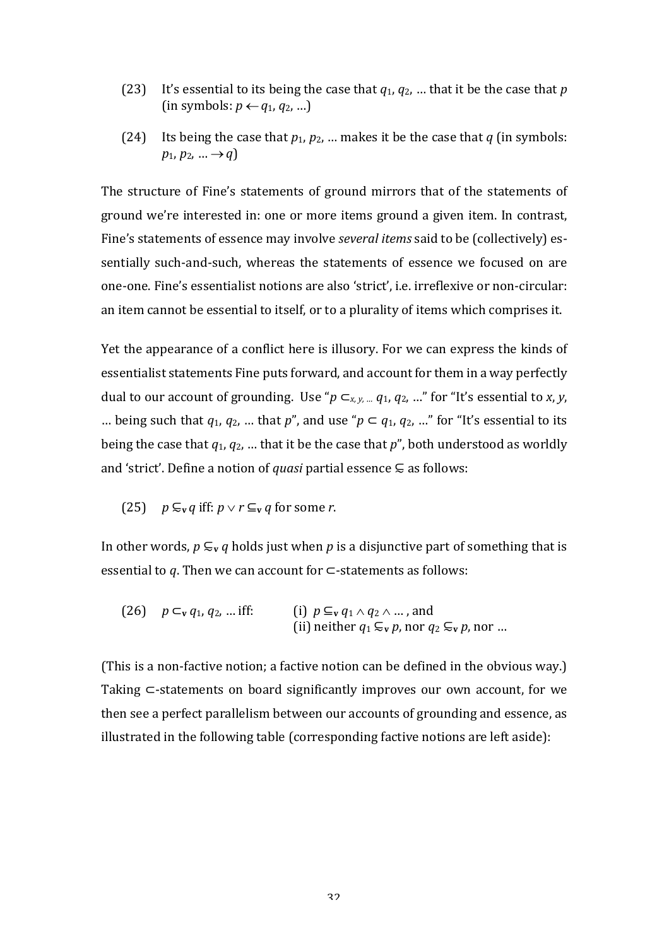- (23) It's essential to its being the case that  $q_1$ ,  $q_2$ , ... that it be the case that *p*  $(in symbols: p \leftarrow q_1, q_2, \ldots)$
- (24) Its being the case that  $p_1$ ,  $p_2$ , ... makes it be the case that  $q$  (in symbols:  $p_1, p_2, ... \rightarrow q$

The structure of Fine's statements of ground mirrors that of the statements of ground we're interested in: one or more items ground a given item. In contrast, Fine's statements of essence may involve *several items* said to be (collectively) essentially such-and-such, whereas the statements of essence we focused on are one-one. Fine's essentialist notions are also 'strict', i.e. irreflexive or non-circular: an item cannot be essential to itself, or to a plurality of items which comprises it.

Yet the appearance of a conflict here is illusory. For we can express the kinds of essentialist statements Fine puts forward, and account for them in a way perfectly dual to our account of grounding. Use " $p \subset_{x,y,\ldots} q_1, q_2, \ldots$ " for "It's essential to *x*, *y*, … being such that  $q_1$ ,  $q_2$ , … that  $p''$ , and use " $p ⊂ q_1$ ,  $q_2$ , …" for "It's essential to its being the case that  $q_1$ ,  $q_2$ , ... that it be the case that  $p''$ , both understood as worldly and 'strict'. Define a notion of *quasi* partial essence  $\boldsymbol{\epsilon}$  as follows:

(25) 
$$
p \subset_{\mathbf{v}} q
$$
 iff:  $p \lor r \subseteq_{\mathbf{v}} q$  for some r.

In other words,  $p \subseteq_v q$  holds just when p is a disjunctive part of something that is essential to  $q$ . Then we can account for  $\subset$ -statements as follows:

(26) 
$$
p \subset_v q_1, q_2, \dots
$$
 iff: (i)  $p \subseteq_v q_1 \land q_2 \land \dots$ , and  
(ii) neither  $q_1 \subseteq_v p$ , nor  $q_2 \subseteq_v p$ , nor ...

(This is a non-factive notion; a factive notion can be defined in the obvious way.) Taking  $\subset$ -statements on board significantly improves our own account, for we then see a perfect parallelism between our accounts of grounding and essence, as illustrated in the following table (corresponding factive notions are left aside):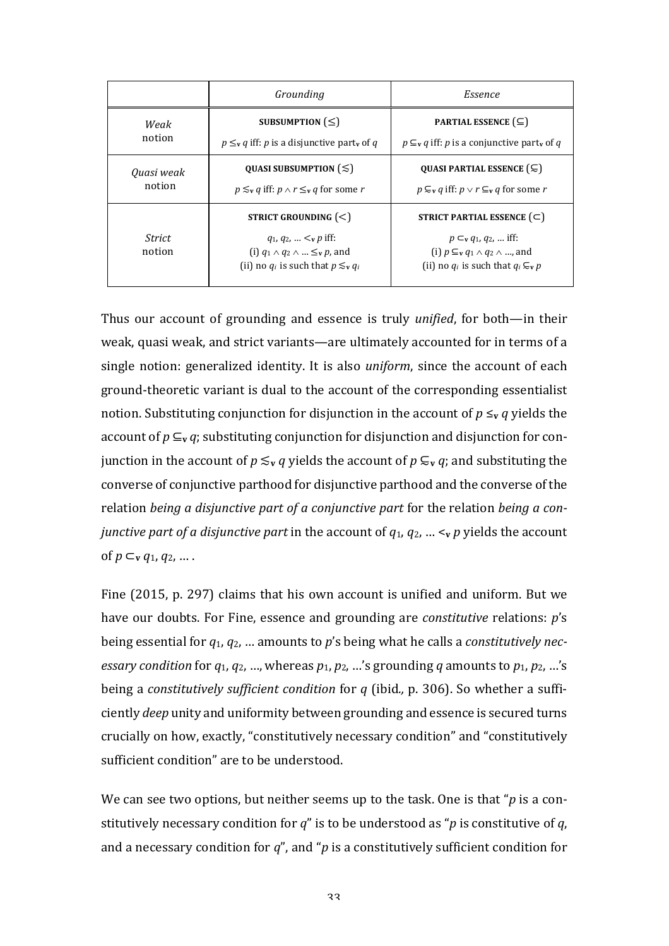|                  | Grounding                                                                                                                                                                       | Essence                                                                                                                                                                                                 |
|------------------|---------------------------------------------------------------------------------------------------------------------------------------------------------------------------------|---------------------------------------------------------------------------------------------------------------------------------------------------------------------------------------------------------|
| Weak             | SUBSUMPTION $(\le)$                                                                                                                                                             | PARTIAL ESSENCE $(\subseteq)$                                                                                                                                                                           |
| notion           | $p \leq_{\rm y} q$ iff: p is a disjunctive part <sub>y</sub> of q                                                                                                               | $p \subseteq_{\mathbf{v}} q$ iff: p is a conjunctive part <sub>y</sub> of q                                                                                                                             |
| Quasi weak       | QUASI SUBSUMPTION $(\leq)$                                                                                                                                                      | QUASI PARTIAL ESSENCE $(\subseteq)$                                                                                                                                                                     |
| notion           | $p \lesssim_{\mathbf{v}} q$ iff: $p \wedge r \leq_{\mathbf{v}} q$ for some r                                                                                                    | $p \subseteq_{\mathbf{v}} q$ iff: $p \vee r \subseteq_{\mathbf{v}} q$ for some r                                                                                                                        |
| Strict<br>notion | STRICT GROUNDING $(<)$<br>$q_1, q_2,  \lt_{\mathbf{v}} p$ iff:<br>(i) $q_1 \wedge q_2 \wedge  \leq_{\rm v} p$ , and<br>(ii) no $q_i$ is such that $p \lesssim_{\mathbf{v}} q_i$ | STRICT PARTIAL ESSENCE $(\subset)$<br>$p \subset_{\mathbf{v}} q_1, q_2, $ iff:<br>(i) $p \subseteq_{\mathbf{v}} q_1 \wedge q_2 \wedge $ , and<br>(ii) no $q_i$ is such that $q_i \nabla_{\mathbf{v}} p$ |

Thus our account of grounding and essence is truly *unified*, for both—in their weak, quasi weak, and strict variants—are ultimately accounted for in terms of a single notion: generalized identity. It is also *uniform*, since the account of each ground-theoretic variant is dual to the account of the corresponding essentialist notion. Substituting conjunction for disjunction in the account of  $p \leq_{\mathbf{v}} q$  yields the account of  $p \subseteq$ **v** *q*; substituting conjunction for disjunction and disjunction for conjunction in the account of  $p \leq_Y q$  yields the account of  $p \in_Y q$ ; and substituting the converse of conjunctive parthood for disjunctive parthood and the converse of the relation *being a disjunctive part of a conjunctive part* for the relation *being a conjunctive part of a disjunctive part* in the account of  $q_1$ ,  $q_2$ , ...  $\lt$ <sub>v</sub> *p* yields the account of *p* ⊂**v** *q*<sub>1</sub>, *q*<sub>2</sub>, ....

Fine (2015, p. 297) claims that his own account is unified and uniform. But we have our doubts. For Fine, essence and grounding are *constitutive* relations: *p*'s being essential for  $q_1$ ,  $q_2$ , ... amounts to p's being what he calls a *constitutively necessary condition* for  $q_1$ ,  $q_2$ , ..., whereas  $p_1$ ,  $p_2$ , ...'s grounding q amounts to  $p_1$ ,  $p_2$ , ...'s being a *constitutively sufficient condition* for *q* (ibid., p. 306). So whether a sufficiently *deep* unity and uniformity between grounding and essence is secured turns crucially on how, exactly, "constitutively necessary condition" and "constitutively sufficient condition" are to be understood.

We can see two options, but neither seems up to the task. One is that " $p$  is a constitutively necessary condition for  $q''$  is to be understood as "p is constitutive of  $q$ , and a necessary condition for  $q''$ , and " $p$  is a constitutively sufficient condition for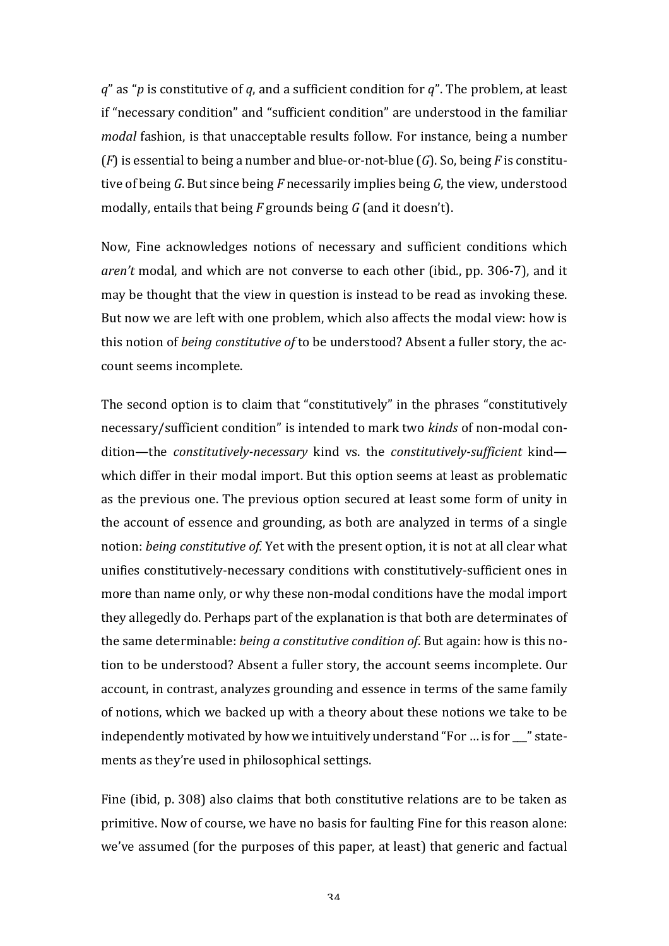$q''$  as "p is constitutive of q, and a sufficient condition for  $q''$ . The problem, at least if "necessary condition" and "sufficient condition" are understood in the familiar *modal* fashion, is that unacceptable results follow. For instance, being a number  $(F)$  is essential to being a number and blue-or-not-blue  $(G)$ . So, being F is constitutive of being *G*. But since being *F* necessarily implies being *G*, the view, understood modally, entails that being  $F$  grounds being  $G$  (and it doesn't).

Now, Fine acknowledges notions of necessary and sufficient conditions which *aren't* modal, and which are not converse to each other (ibid., pp. 306-7), and it may be thought that the view in question is instead to be read as invoking these. But now we are left with one problem, which also affects the modal view: how is this notion of *being constitutive of* to be understood? Absent a fuller story, the account seems incomplete.

The second option is to claim that "constitutively" in the phrases "constitutively necessary/sufficient condition" is intended to mark two *kinds* of non-modal condition—the *constitutively-necessary* kind vs. the *constitutively-sufficient* kind which differ in their modal import. But this option seems at least as problematic as the previous one. The previous option secured at least some form of unity in the account of essence and grounding, as both are analyzed in terms of a single notion: *being constitutive of.* Yet with the present option, it is not at all clear what unifies constitutively-necessary conditions with constitutively-sufficient ones in more than name only, or why these non-modal conditions have the modal import they allegedly do. Perhaps part of the explanation is that both are determinates of the same determinable: *being a constitutive condition of*. But again: how is this notion to be understood? Absent a fuller story, the account seems incomplete. Our account, in contrast, analyzes grounding and essence in terms of the same family of notions, which we backed up with a theory about these notions we take to be independently motivated by how we intuitively understand "For ... is for \_\_\_" statements as they're used in philosophical settings.

Fine (ibid, p. 308) also claims that both constitutive relations are to be taken as primitive. Now of course, we have no basis for faulting Fine for this reason alone: we've assumed (for the purposes of this paper, at least) that generic and factual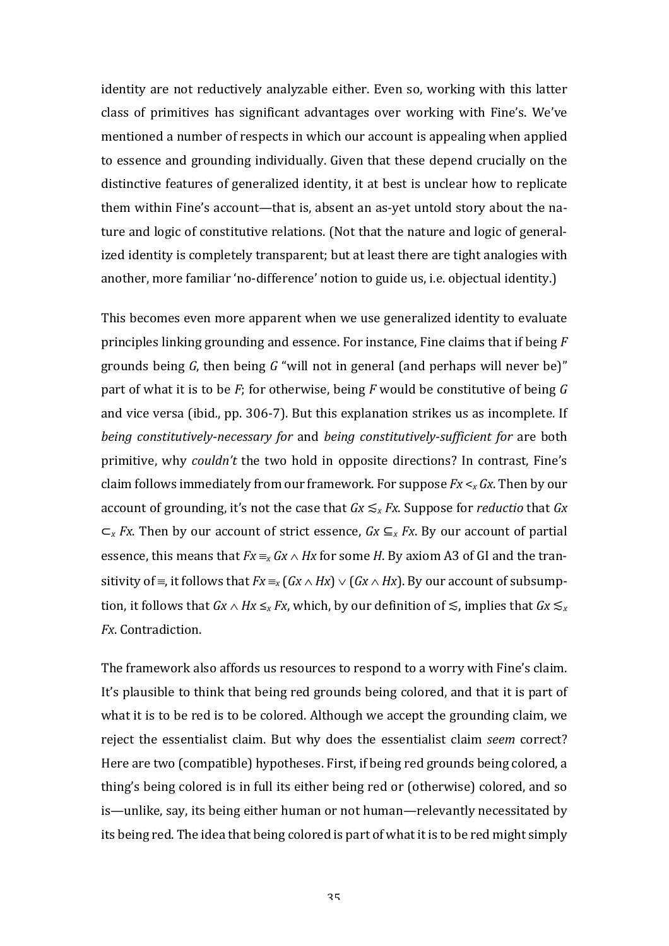identity are not reductively analyzable either. Even so, working with this latter class of primitives has significant advantages over working with Fine's. We've mentioned a number of respects in which our account is appealing when applied to essence and grounding individually. Given that these depend crucially on the distinctive features of generalized identity, it at best is unclear how to replicate them within Fine's account—that is, absent an as-yet untold story about the nature and logic of constitutive relations. (Not that the nature and logic of generalized identity is completely transparent; but at least there are tight analogies with another, more familiar 'no-difference' notion to guide us, i.e. objectual identity.)

This becomes even more apparent when we use generalized identity to evaluate principles linking grounding and essence. For instance, Fine claims that if being *F* grounds being  $G$ , then being  $G$  "will not in general (and perhaps will never be)" part of what it is to be  $F$ ; for otherwise, being  $F$  would be constitutive of being  $G$ and vice versa (ibid., pp. 306-7). But this explanation strikes us as incomplete. If *being constitutively*-*necessary for* and *being constitutively*-*sufficient for*  are both primitive, why *couldn't* the two hold in opposite directions? In contrast, Fine's claim follows immediately from our framework. For suppose  $Fx <sub>x</sub> Gx$ . Then by our account of grounding, it's not the case that  $Gx \leq x$  *Fx*. Suppose for *reductio* that  $Gx$ ⊂*<sup>x</sup> Fx*. Then by our account of strict essence, *Gx* ⊆*<sup>x</sup> Fx*. By our account of partial essence, this means that  $Fx =_{x} Gx \wedge Hx$  for some *H*. By axiom A3 of GI and the transitivity of  $\equiv$ , it follows that  $Fx \equiv_{x} (Gx \wedge Hx) \vee (Gx \wedge Hx)$ . By our account of subsumption, it follows that  $Gx \wedge Hx \leq x Fx$ , which, by our definition of  $\leq$ , implies that  $Gx \leq x$ *Fx*. Contradiction.

The framework also affords us resources to respond to a worry with Fine's claim. It's plausible to think that being red grounds being colored, and that it is part of what it is to be red is to be colored. Although we accept the grounding claim, we reject the essentialist claim. But why does the essentialist claim *seem* correct? Here are two (compatible) hypotheses. First, if being red grounds being colored, a thing's being colored is in full its either being red or (otherwise) colored, and so is—unlike, say, its being either human or not human—relevantly necessitated by its being red. The idea that being colored is part of what it is to be red might simply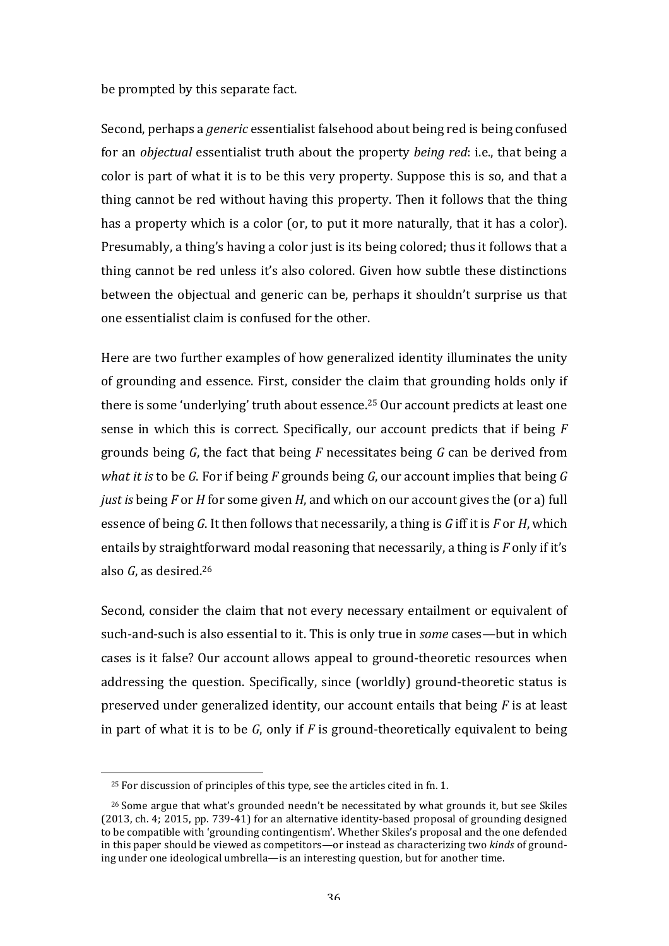be prompted by this separate fact.

Second, perhaps a *generic* essentialist falsehood about being red is being confused for an *objectual* essentialist truth about the property *being red*: *i.e.*, that being a color is part of what it is to be this very property. Suppose this is so, and that a thing cannot be red without having this property. Then it follows that the thing has a property which is a color (or, to put it more naturally, that it has a color). Presumably, a thing's having a color just is its being colored; thus it follows that a thing cannot be red unless it's also colored. Given how subtle these distinctions between the objectual and generic can be, perhaps it shouldn't surprise us that one essentialist claim is confused for the other.

Here are two further examples of how generalized identity illuminates the unity of grounding and essence. First, consider the claim that grounding holds only if there is some 'underlying' truth about essence.<sup>25</sup> Our account predicts at least one sense in which this is correct. Specifically, our account predicts that if being  $F$ grounds being  $G$ , the fact that being  $F$  necessitates being  $G$  can be derived from *what it is* to be *G*. For if being *F* grounds being *G*, our account implies that being *G just is* being *F* or *H* for some given *H*, and which on our account gives the (or a) full essence of being *G*. It then follows that necessarily, a thing is *G* iff it is *F* or *H*, which entails by straightforward modal reasoning that necessarily, a thing is F only if it's also *G*, as desired.<sup>26</sup>

Second, consider the claim that not every necessary entailment or equivalent of such-and-such is also essential to it. This is only true in *some* cases—but in which cases is it false? Our account allows appeal to ground-theoretic resources when addressing the question. Specifically, since (worldly) ground-theoretic status is preserved under generalized identity, our account entails that being  $F$  is at least in part of what it is to be  $G$ , only if  $F$  is ground-theoretically equivalent to being

 $25$  For discussion of principles of this type, see the articles cited in fn. 1.

 $26$  Some argue that what's grounded needn't be necessitated by what grounds it, but see Skiles  $(2013, \text{ch. } 4; 2015, \text{pp. } 739-41)$  for an alternative identity-based proposal of grounding designed to be compatible with 'grounding contingentism'. Whether Skiles's proposal and the one defended in this paper should be viewed as competitors—or instead as characterizing two *kinds* of grounding under one ideological umbrella—is an interesting question, but for another time.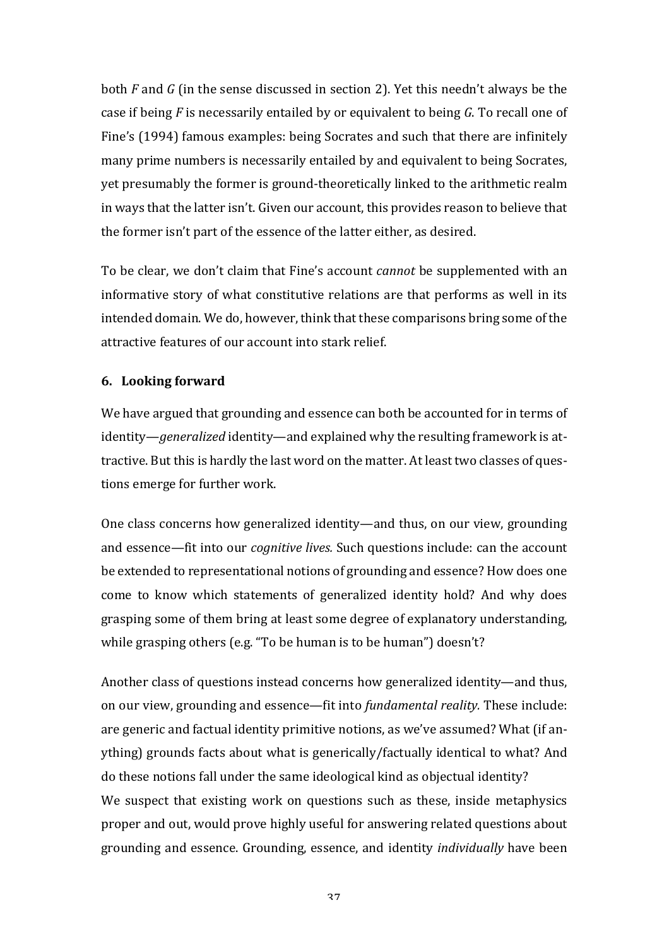both *F* and *G* (in the sense discussed in section 2). Yet this needn't always be the case if being *F* is necessarily entailed by or equivalent to being *G*. To recall one of Fine's (1994) famous examples: being Socrates and such that there are infinitely many prime numbers is necessarily entailed by and equivalent to being Socrates, yet presumably the former is ground-theoretically linked to the arithmetic realm in ways that the latter isn't. Given our account, this provides reason to believe that the former isn't part of the essence of the latter either, as desired.

To be clear, we don't claim that Fine's account *cannot* be supplemented with an informative story of what constitutive relations are that performs as well in its intended domain. We do, however, think that these comparisons bring some of the attractive features of our account into stark relief.

#### **6. Looking forward**

We have argued that grounding and essence can both be accounted for in terms of identity—*generalized* identity—and explained why the resulting framework is attractive. But this is hardly the last word on the matter. At least two classes of questions emerge for further work.

One class concerns how generalized identity—and thus, on our view, grounding and essence—fit into our *cognitive lives*. Such questions include: can the account be extended to representational notions of grounding and essence? How does one come to know which statements of generalized identity hold? And why does grasping some of them bring at least some degree of explanatory understanding, while grasping others (e.g. "To be human is to be human") doesn't?

Another class of questions instead concerns how generalized identity—and thus, on our view, grounding and essence—fit into *fundamental reality*. These include: are generic and factual identity primitive notions, as we've assumed? What (if anything) grounds facts about what is generically/factually identical to what? And do these notions fall under the same ideological kind as objectual identity? We suspect that existing work on questions such as these, inside metaphysics proper and out, would prove highly useful for answering related questions about grounding and essence. Grounding, essence, and identity *individually* have been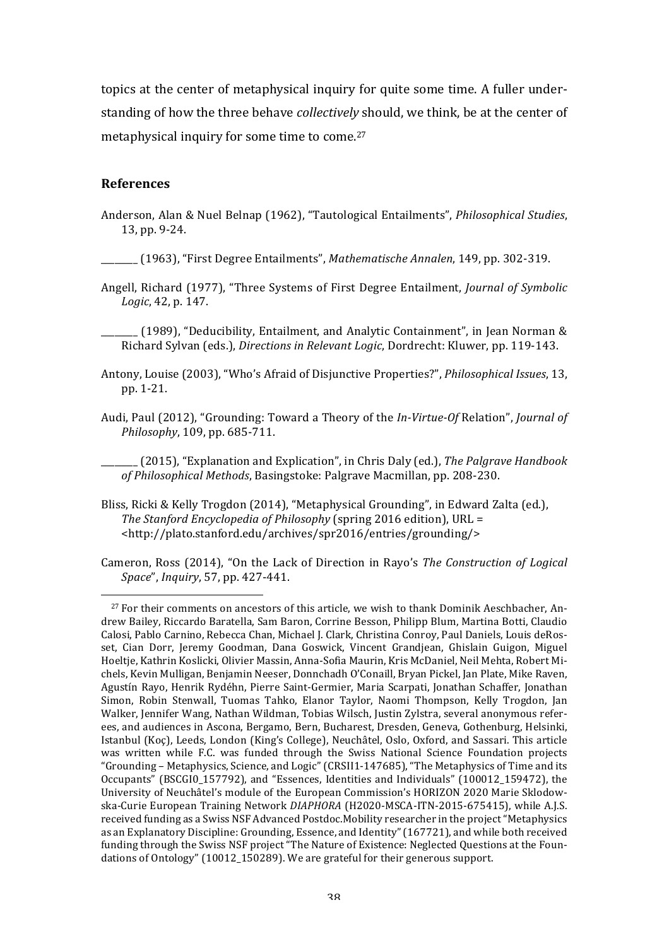topics at the center of metaphysical inquiry for quite some time. A fuller understanding of how the three behave *collectively* should, we think, be at the center of metaphysical inquiry for some time to come. $27$ 

#### **References**

1

- Anderson, Alan & Nuel Belnap (1962), "Tautological Entailments", *Philosophical Studies*, 13, pp. 9-24.
- \_\_\_\_\_\_\_\_ (1963), "First Degree Entailments", *Mathematische Annalen*, 149, pp. 302-319.
- Angell, Richard (1977), "Three Systems of First Degree Entailment, *Journal of Symbolic Logic*, 42, p. 147.
	- (1989), "Deducibility, Entailment, and Analytic Containment", in Jean Norman & Richard Sylvan (eds.), *Directions in Relevant Logic*, Dordrecht: Kluwer, pp. 119-143.
- Antony, Louise (2003), "Who's Afraid of Disjunctive Properties?", *Philosophical Issues*, 13, pp. 1-21.
- Audi, Paul (2012), "Grounding: Toward a Theory of the *In-Virtue-Of* Relation", *Journal of Philosophy*, 109, pp. 685-711.

(2015), "Explanation and Explication", in Chris Daly (ed.), *The Palgrave Handbook* of Philosophical Methods, Basingstoke: Palgrave Macmillan, pp. 208-230.

- Bliss, Ricki & Kelly Trogdon (2014), "Metaphysical Grounding", in Edward Zalta (ed.), The Stanford Encyclopedia of Philosophy (spring 2016 edition), URL = <http://plato.stanford.edu/archives/spr2016/entries/grounding/>
- Cameron, Ross (2014), "On the Lack of Direction in Rayo's *The Construction of Logical Space"*, *Inquiry*, 57, pp. 427-441.

 $27$  For their comments on ancestors of this article, we wish to thank Dominik Aeschbacher, Andrew Bailey, Riccardo Baratella, Sam Baron, Corrine Besson, Philipp Blum, Martina Botti, Claudio Calosi, Pablo Carnino, Rebecca Chan, Michael I. Clark, Christina Conroy, Paul Daniels, Louis deRosset, Cian Dorr, Jeremy Goodman, Dana Goswick, Vincent Grandjean, Ghislain Guigon, Miguel Hoeltie, Kathrin Koslicki, Olivier Massin, Anna-Sofia Maurin, Kris McDaniel, Neil Mehta, Robert Michels, Kevin Mulligan, Benjamin Neeser, Donnchadh O'Conaill, Bryan Pickel, Jan Plate, Mike Raven, Agustín Rayo, Henrik Rydéhn, Pierre Saint-Germier, Maria Scarpati, Jonathan Schaffer, Jonathan Simon. Robin Stenwall, Tuomas Tahko, Elanor Taylor, Naomi Thompson, Kelly Trogdon, Jan Walker, Jennifer Wang, Nathan Wildman, Tobias Wilsch, Justin Zylstra, several anonymous referees, and audiences in Ascona, Bergamo, Bern, Bucharest, Dresden, Geneva, Gothenburg, Helsinki, Istanbul (Koç), Leeds, London (King's College), Neuchâtel, Oslo, Oxford, and Sassari. This article was written while F.C. was funded through the Swiss National Science Foundation projects "Grounding – Metaphysics, Science, and Logic" (CRSII1-147685), "The Metaphysics of Time and its Occupants" (BSCGI0\_157792), and "Essences, Identities and Individuals" (100012\_159472), the University of Neuchâtel's module of the European Commission's HORIZON 2020 Marie Sklodowska-Curie European Training Network *DIAPHORA* (H2020-MSCA-ITN-2015-675415), while A.J.S. received funding as a Swiss NSF Advanced Postdoc.Mobility researcher in the project "Metaphysics" as an Explanatory Discipline: Grounding, Essence, and Identity" (167721), and while both received funding through the Swiss NSF project "The Nature of Existence: Neglected Questions at the Foundations of Ontology" (10012\_150289). We are grateful for their generous support.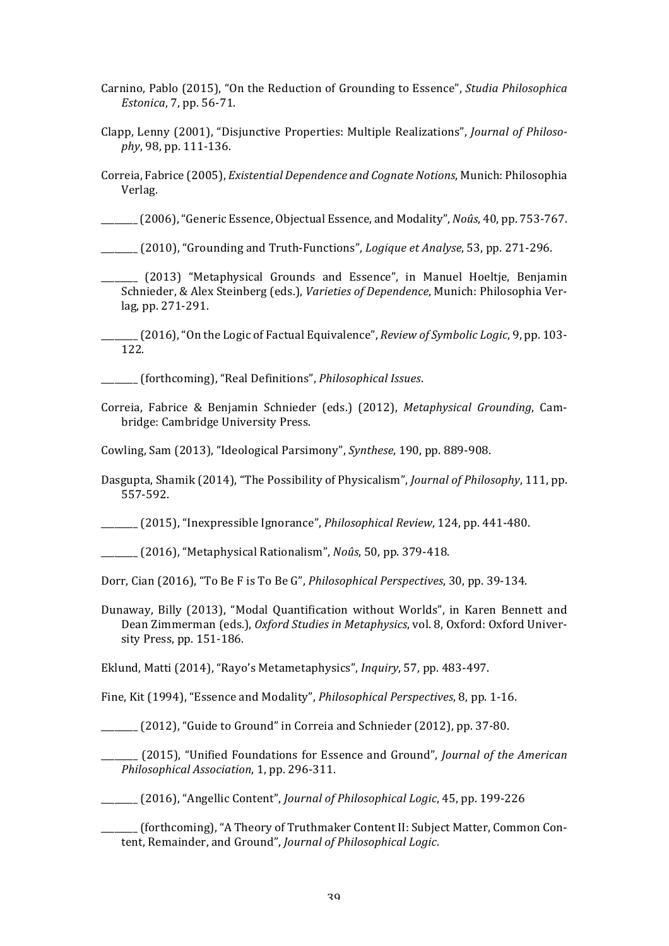- Carnino, Pablo (2015), "On the Reduction of Grounding to Essence", *Studia Philosophica Estonica*, 7, pp. 56-71.
- Clapp, Lenny (2001), "Disjunctive Properties: Multiple Realizations", *Journal of Philosophy*, 98, pp. 111-136.
- Correia, Fabrice (2005), *Existential Dependence and Cognate Notions*, Munich: Philosophia Verlag.

\_\_\_\_\_\_\_\_ (2006), "Generic Essence, Objectual Essence, and Modality", *Noûs*, 40, pp. 753-767. 

\_\_\_\_\_\_\_\_ (2010), "Grounding and Truth-Functions", *Logique et Analyse*, 53, pp. 271-296.

\_\_\_\_\_\_\_\_ (2013) "Metaphysical Grounds and Essence", in Manuel Hoeltje, Benjamin Schnieder, & Alex Steinberg (eds.), *Varieties of Dependence*, Munich: Philosophia Verlag, pp. 271-291.

\_\_\_\_\_\_\_\_ (2016), "On the Logic of Factual Equivalence", *Review of Symbolic Logic*, 9, pp. 103- 122. 

\_\_\_\_\_\_\_\_ (forthcoming), "Real Definitions", *Philosophical Issues*.

Correia, Fabrice & Benjamin Schnieder (eds.) (2012), *Metaphysical Grounding*, Cambridge: Cambridge University Press.

Cowling, Sam (2013), "Ideological Parsimony", *Synthese*, 190, pp. 889-908.

Dasgupta, Shamik (2014), "The Possibility of Physicalism", *Journal of Philosophy*, 111, pp. 557-592.

\_\_\_\_\_\_\_\_ (2015), "Inexpressible Ignorance", *Philosophical Review*, 124, pp. 441-480. 

\_\_\_\_\_\_\_\_ (2016), "Metaphysical Rationalism", *Noûs*, 50, pp. 379-418. 

Dorr, Cian (2016), "To Be F is To Be G", *Philosophical Perspectives*, 30, pp. 39-134.

Dunaway, Billy (2013), "Modal Quantification without Worlds", in Karen Bennett and Dean Zimmerman (eds.), *Oxford Studies in Metaphysics*, vol. 8, Oxford: Oxford University Press, pp. 151-186.

Eklund, Matti (2014), "Rayo's Metametaphysics", *Inquiry*, 57, pp. 483-497.

Fine, Kit (1994), "Essence and Modality", *Philosophical Perspectives*, 8, pp. 1-16.

- \_\_\_\_\_\_\_\_ (2012), "Guide to Ground" in Correia and Schnieder (2012), pp. 37-80.
- \_\_\_\_\_\_\_\_ (2015), "Unified Foundations for Essence and Ground", *Journal of the American Philosophical Association*, 1, pp. 296-311.

\_\_\_\_\_\_\_\_ (2016), "Angellic Content", *Journal of Philosophical Logic*, 45, pp. 199-226

\_\_\_\_\_\_\_\_ (forthcoming), "A Theory of Truthmaker Content II: Subject Matter, Common Content, Remainder, and Ground", *Journal of Philosophical Logic*.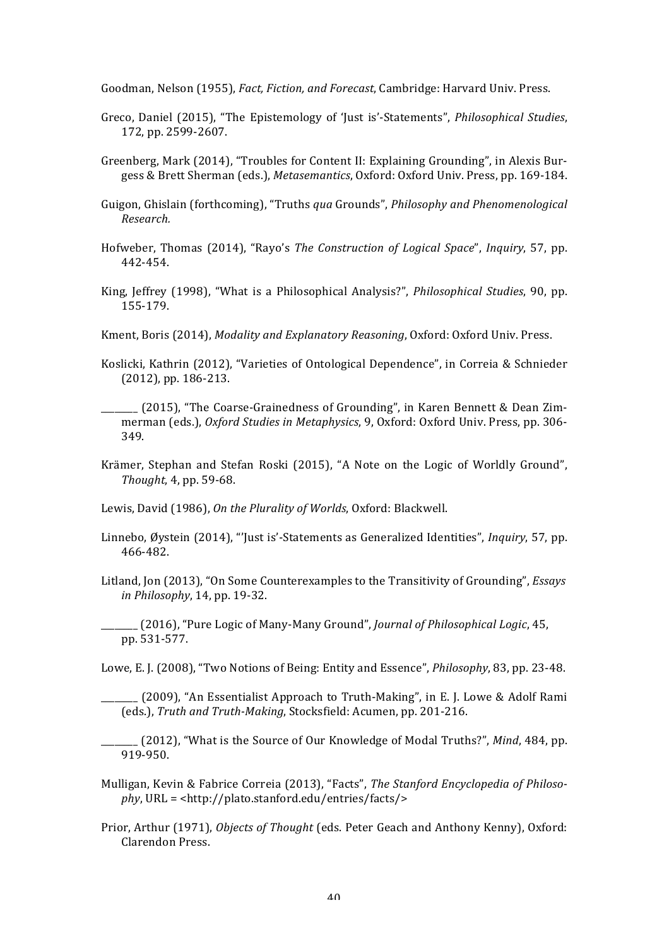Goodman, Nelson (1955), *Fact, Fiction, and Forecast*, Cambridge: Harvard Univ. Press.

- Greco, Daniel (2015), "The Epistemology of 'Just is'-Statements", *Philosophical Studies*, 172. pp. 2599-2607.
- Greenberg, Mark (2014), "Troubles for Content II: Explaining Grounding", in Alexis Burgess & Brett Sherman (eds.), *Metasemantics*, Oxford: Oxford Univ. Press, pp. 169-184.
- Guigon, Ghislain (forthcoming), "Truths *qua* Grounds", *Philosophy and Phenomenological Research.*
- Hofweber, Thomas (2014), "Rayo's *The Construction of Logical Space"*, *Inquiry*, 57, pp. 442-454.
- King, Jeffrey (1998), "What is a Philosophical Analysis?", *Philosophical Studies*, 90, pp. 155-179.
- Kment, Boris (2014), *Modality and Explanatory Reasoning*, Oxford: Oxford Univ. Press.
- Koslicki, Kathrin (2012), "Varieties of Ontological Dependence", in Correia & Schnieder  $(2012)$ , pp. 186-213.
	- (2015), "The Coarse-Grainedness of Grounding", in Karen Bennett & Dean Zimmerman (eds.), *Oxford Studies in Metaphysics*, 9, Oxford: Oxford Univ. Press, pp. 306-349.
- Krämer, Stephan and Stefan Roski (2015), "A Note on the Logic of Worldly Ground", *Thought*, 4, pp. 59-68.

Lewis, David (1986), On the Plurality of Worlds, Oxford: Blackwell.

- Linnebo, Øystein (2014), "'Just is'-Statements as Generalized Identities", *Inquiry*, 57, pp. 466-482.
- Litland, Jon (2013), "On Some Counterexamples to the Transitivity of Grounding", *Essays in Philosophy*, 14, pp. 19-32.
- \_\_\_\_\_\_\_\_ (2016), "Pure Logic of Many-Many Ground", *Journal of Philosophical Logic*, 45, pp. 531-577.

Lowe, E. J. (2008), "Two Notions of Being: Entity and Essence", *Philosophy*, 83, pp. 23-48.

(2009), "An Essentialist Approach to Truth-Making", in E. J. Lowe & Adolf Rami (eds.), Truth and Truth-Making, Stocksfield: Acumen, pp. 201-216.

\_\_\_\_\_\_\_\_ (2012), "What is the Source of Our Knowledge of Modal Truths?", *Mind*, 484, pp. 919-950. 

Mulligan, Kevin & Fabrice Correia (2013), "Facts", *The Stanford Encyclopedia of Philosophy*, URL = <http://plato.stanford.edu/entries/facts/>

Prior, Arthur (1971), *Objects of Thought* (eds. Peter Geach and Anthony Kenny), Oxford: Clarendon Press.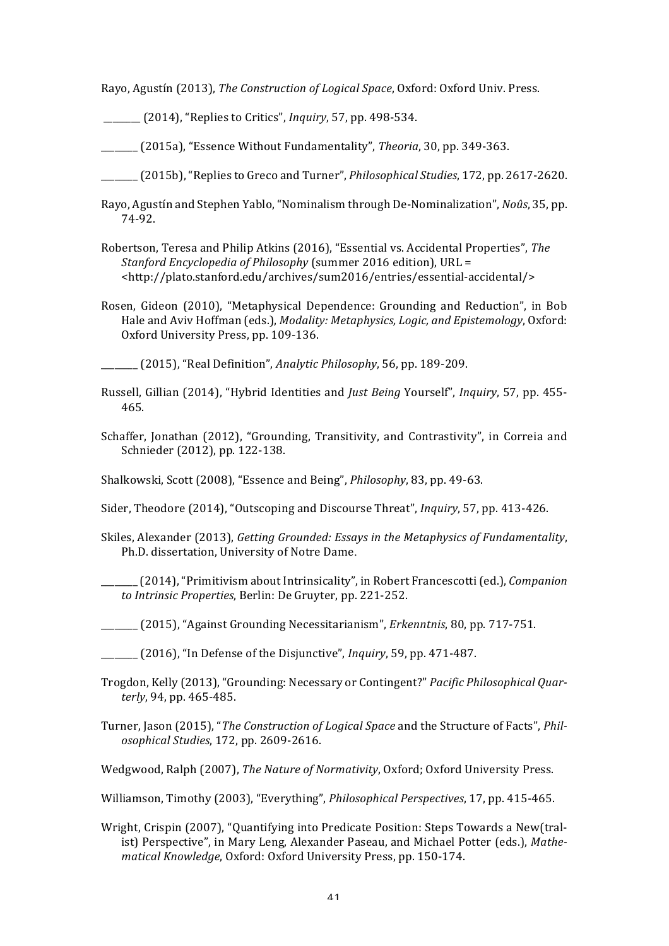Rayo, Agustín (2013), *The Construction of Logical Space*, Oxford: Oxford Univ. Press.

\_\_\_\_\_\_\_\_ (2014), "Replies to Critics", *Inquiry*, 57, pp. 498-534. 

\_\_\_\_\_\_\_\_ (2015a), "Essence Without Fundamentality", *Theoria*, 30, pp. 349-363. 

- \_\_\_\_\_\_\_\_ (2015b), "Replies to Greco and Turner", *Philosophical Studies*, 172, pp. 2617-2620.
- Rayo, Agustín and Stephen Yablo, "Nominalism through De-Nominalization", *Noûs*, 35, pp. 74-92.
- Robertson, Teresa and Philip Atkins (2016), "Essential vs. Accidental Properties", The *Stanford Encyclopedia of Philosophy* (summer 2016 edition), URL = <http://plato.stanford.edu/archives/sum2016/entries/essential-accidental/>
- Rosen, Gideon (2010), "Metaphysical Dependence: Grounding and Reduction", in Bob Hale and Aviv Hoffman (eds.), *Modality: Metaphysics, Logic, and Epistemology*, Oxford: Oxford University Press, pp. 109-136.

\_\_\_\_\_\_\_\_ (2015), "Real Definition", *Analytic Philosophy*, 56, pp. 189-209. 

- Russell, Gillian (2014), "Hybrid Identities and *Just Being* Yourself", *Inquiry*, 57, pp. 455-465.
- Schaffer, Jonathan (2012), "Grounding, Transitivity, and Contrastivity", in Correia and Schnieder (2012), pp. 122-138.

Shalkowski, Scott (2008), "Essence and Being", *Philosophy*, 83, pp. 49-63.

Sider, Theodore (2014), "Outscoping and Discourse Threat", *Inquiry*, 57, pp. 413-426.

- Skiles, Alexander (2013), *Getting Grounded: Essays in the Metaphysics of Fundamentality*, Ph.D. dissertation, University of Notre Dame.
	- $_$  (2014), "Primitivism about Intrinsicality", in Robert Francescotti (ed.), *Companion to Intrinsic Properties*, Berlin: De Gruyter, pp. 221-252.
- \_\_\_\_\_\_\_\_ (2015), "Against Grounding Necessitarianism", *Erkenntnis*, 80, pp. 717-751.
- \_\_\_\_\_\_\_\_ (2016), "In Defense of the Disjunctive", *Inquiry*, 59, pp. 471-487.
- Trogdon, Kelly (2013), "Grounding: Necessary or Contingent?" *Pacific Philosophical Quarterly*, 94, pp. 465-485.
- Turner, Jason (2015), "*The Construction of Logical Space* and the Structure of Facts", *Philosophical Studies*, 172, pp. 2609-2616.

Wedgwood, Ralph (2007), *The Nature of Normativity*, Oxford; Oxford University Press.

Williamson, Timothy (2003), "Everything", *Philosophical Perspectives*, 17, pp. 415-465.

Wright, Crispin (2007), "Quantifying into Predicate Position: Steps Towards a New(tralist) Perspective", in Mary Leng, Alexander Paseau, and Michael Potter (eds.), Mathe*matical Knowledge, Oxford: Oxford University Press, pp. 150-174.*